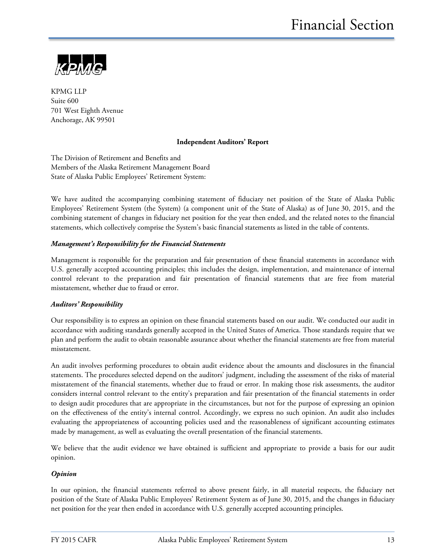

KPMG LLP Suite 600 701 West Eighth Avenue Anchorage, AK 99501

#### **Independent Auditors' Report**

The Division of Retirement and Benefits and Members of the Alaska Retirement Management Board State of Alaska Public Employees' Retirement System:

We have audited the accompanying combining statement of fiduciary net position of the State of Alaska Public Employees' Retirement System (the System) (a component unit of the State of Alaska) as of June 30, 2015, and the combining statement of changes in fiduciary net position for the year then ended, and the related notes to the financial statements, which collectively comprise the System's basic financial statements as listed in the table of contents.

### *Management's Responsibility for the Financial Statements*

Management is responsible for the preparation and fair presentation of these financial statements in accordance with U.S. generally accepted accounting principles; this includes the design, implementation, and maintenance of internal control relevant to the preparation and fair presentation of financial statements that are free from material misstatement, whether due to fraud or error.

#### *Auditors' Responsibility*

Our responsibility is to express an opinion on these financial statements based on our audit. We conducted our audit in accordance with auditing standards generally accepted in the United States of America. Those standards require that we plan and perform the audit to obtain reasonable assurance about whether the financial statements are free from material misstatement.

An audit involves performing procedures to obtain audit evidence about the amounts and disclosures in the financial statements. The procedures selected depend on the auditors' judgment, including the assessment of the risks of material misstatement of the financial statements, whether due to fraud or error. In making those risk assessments, the auditor considers internal control relevant to the entity's preparation and fair presentation of the financial statements in order to design audit procedures that are appropriate in the circumstances, but not for the purpose of expressing an opinion on the effectiveness of the entity's internal control. Accordingly, we express no such opinion. An audit also includes evaluating the appropriateness of accounting policies used and the reasonableness of significant accounting estimates made by management, as well as evaluating the overall presentation of the financial statements.

We believe that the audit evidence we have obtained is sufficient and appropriate to provide a basis for our audit opinion.

#### *Opinion*

In our opinion, the financial statements referred to above present fairly, in all material respects, the fiduciary net position of the State of Alaska Public Employees' Retirement System as of June 30, 2015, and the changes in fiduciary net position for the year then ended in accordance with U.S. generally accepted accounting principles.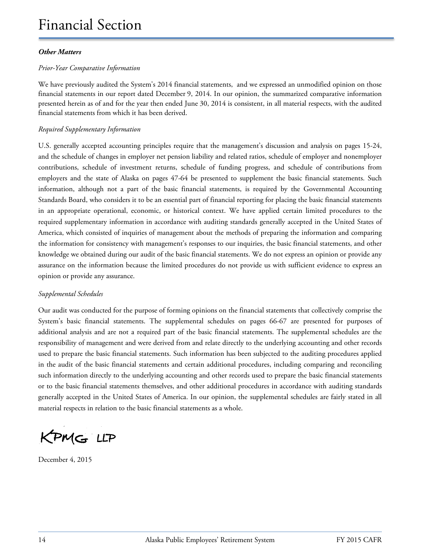### *Other Matters*

#### *Prior-Year Comparative Information*

We have previously audited the System's 2014 financial statements, and we expressed an unmodified opinion on those financial statements in our report dated December 9, 2014. In our opinion, the summarized comparative information presented herein as of and for the year then ended June 30, 2014 is consistent, in all material respects, with the audited financial statements from which it has been derived.

### *Required Supplementary Information*

U.S. generally accepted accounting principles require that the management's discussion and analysis on pages 15-24, and the schedule of changes in employer net pension liability and related ratios, schedule of employer and nonemployer contributions, schedule of investment returns, schedule of funding progress, and schedule of contributions from employers and the state of Alaska on pages 47-64 be presented to supplement the basic financial statements. Such information, although not a part of the basic financial statements, is required by the Governmental Accounting Standards Board, who considers it to be an essential part of financial reporting for placing the basic financial statements in an appropriate operational, economic, or historical context. We have applied certain limited procedures to the required supplementary information in accordance with auditing standards generally accepted in the United States of America, which consisted of inquiries of management about the methods of preparing the information and comparing the information for consistency with management's responses to our inquiries, the basic financial statements, and other knowledge we obtained during our audit of the basic financial statements. We do not express an opinion or provide any assurance on the information because the limited procedures do not provide us with sufficient evidence to express an opinion or provide any assurance.

#### *Supplemental Schedules*

Our audit was conducted for the purpose of forming opinions on the financial statements that collectively comprise the System's basic financial statements. The supplemental schedules on pages 66-67 are presented for purposes of additional analysis and are not a required part of the basic financial statements. The supplemental schedules are the responsibility of management and were derived from and relate directly to the underlying accounting and other records used to prepare the basic financial statements. Such information has been subjected to the auditing procedures applied in the audit of the basic financial statements and certain additional procedures, including comparing and reconciling such information directly to the underlying accounting and other records used to prepare the basic financial statements or to the basic financial statements themselves, and other additional procedures in accordance with auditing standards generally accepted in the United States of America. In our opinion, the supplemental schedules are fairly stated in all material respects in relation to the basic financial statements as a whole.

KPMG LLP

December 4, 2015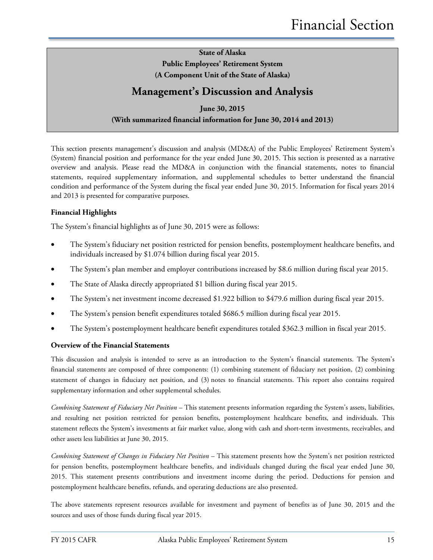### **Management's Discussion and Analysis**

**June 30, 2015 (With summarized financial information for June 30, 2014 and 2013)**

This section presents management's discussion and analysis (MD&A) of the Public Employees' Retirement System's (System) financial position and performance for the year ended June 30, 2015. This section is presented as a narrative overview and analysis. Please read the MD&A in conjunction with the financial statements, notes to financial statements, required supplementary information, and supplemental schedules to better understand the financial condition and performance of the System during the fiscal year ended June 30, 2015. Information for fiscal years 2014 and 2013 is presented for comparative purposes.

### **Financial Highlights**

The System's financial highlights as of June 30, 2015 were as follows:

- The System's fiduciary net position restricted for pension benefits, postemployment healthcare benefits, and individuals increased by \$1.074 billion during fiscal year 2015.
- The System's plan member and employer contributions increased by \$8.6 million during fiscal year 2015.
- The State of Alaska directly appropriated \$1 billion during fiscal year 2015.
- The System's net investment income decreased \$1.922 billion to \$479.6 million during fiscal year 2015.
- The System's pension benefit expenditures totaled \$686.5 million during fiscal year 2015.
- The System's postemployment healthcare benefit expenditures totaled \$362.3 million in fiscal year 2015.

### **Overview of the Financial Statements**

This discussion and analysis is intended to serve as an introduction to the System's financial statements. The System's financial statements are composed of three components: (1) combining statement of fiduciary net position, (2) combining statement of changes in fiduciary net position, and (3) notes to financial statements. This report also contains required supplementary information and other supplemental schedules.

*Combining Statement of Fiduciary Net Position* – This statement presents information regarding the System's assets, liabilities, and resulting net position restricted for pension benefits, postemployment healthcare benefits, and individuals. This statement reflects the System's investments at fair market value, along with cash and short-term investments, receivables, and other assets less liabilities at June 30, 2015.

*Combining Statement of Changes in Fiduciary Net Position* – This statement presents how the System's net position restricted for pension benefits, postemployment healthcare benefits, and individuals changed during the fiscal year ended June 30, 2015. This statement presents contributions and investment income during the period. Deductions for pension and postemployment healthcare benefits, refunds, and operating deductions are also presented.

The above statements represent resources available for investment and payment of benefits as of June 30, 2015 and the sources and uses of those funds during fiscal year 2015.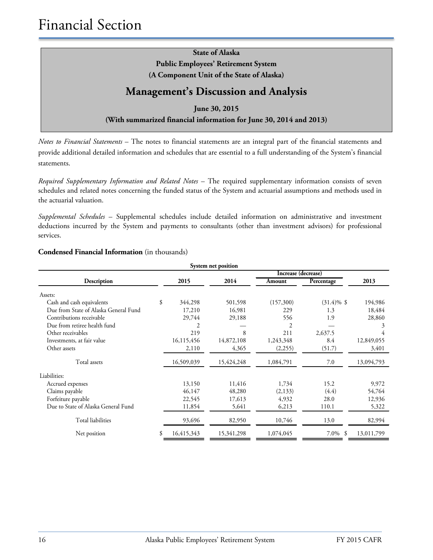### **Management's Discussion and Analysis**

**June 30, 2015**

### **(With summarized financial information for June 30, 2014 and 2013)**

*Notes to Financial Statements* – The notes to financial statements are an integral part of the financial statements and provide additional detailed information and schedules that are essential to a full understanding of the System's financial statements.

*Required Supplementary Information and Related Notes* – The required supplementary information consists of seven schedules and related notes concerning the funded status of the System and actuarial assumptions and methods used in the actuarial valuation.

*Supplemental Schedules* – Supplemental schedules include detailed information on administrative and investment deductions incurred by the System and payments to consultants (other than investment advisors) for professional services.

#### **Condensed Financial Information** (in thousands)

| System net position                   |            |            |                     |               |            |  |  |  |
|---------------------------------------|------------|------------|---------------------|---------------|------------|--|--|--|
|                                       |            |            | Increase (decrease) |               |            |  |  |  |
| Description                           | 2015       | 2014       | Amount              | Percentage    | 2013       |  |  |  |
| Assets:                               |            |            |                     |               |            |  |  |  |
| \$<br>Cash and cash equivalents       | 344,298    | 501,598    | (157,300)           | $(31.4)\%$ \$ | 194,986    |  |  |  |
| Due from State of Alaska General Fund | 17,210     | 16,981     | 229                 | 1.3           | 18,484     |  |  |  |
| Contributions receivable              | 29,744     | 29,188     | 556                 | 1.9           | 28,860     |  |  |  |
| Due from retiree health fund          | 2          |            | $\overline{c}$      |               | 3          |  |  |  |
| Other receivables                     | 219        | 8          | 211                 | 2,637.5       | 4          |  |  |  |
| Investments, at fair value            | 16,115,456 | 14,872,108 | 1,243,348           | 8.4           | 12,849,055 |  |  |  |
| Other assets                          | 2,110      | 4,365      | (2,255)             | (51.7)        | 3,401      |  |  |  |
| Total assets                          | 16,509,039 | 15,424,248 | 1,084,791           | 7.0           | 13,094,793 |  |  |  |
| Liabilities:                          |            |            |                     |               |            |  |  |  |
| Accrued expenses                      | 13,150     | 11,416     | 1,734               | 15.2          | 9,972      |  |  |  |
| Claims payable                        | 46,147     | 48,280     | (2,133)             | (4.4)         | 54,764     |  |  |  |
| Forfeiture payable                    | 22,545     | 17,613     | 4,932               | 28.0          | 12,936     |  |  |  |
| Due to State of Alaska General Fund   | 11,854     | 5,641      | 6,213               | 110.1         | 5,322      |  |  |  |
| Total liabilities                     | 93,696     | 82,950     | 10,746              | 13.0          | 82,994     |  |  |  |
| Net position                          | 16,415,343 | 15,341,298 | 1,074,045           | 7.0%          | 13,011,799 |  |  |  |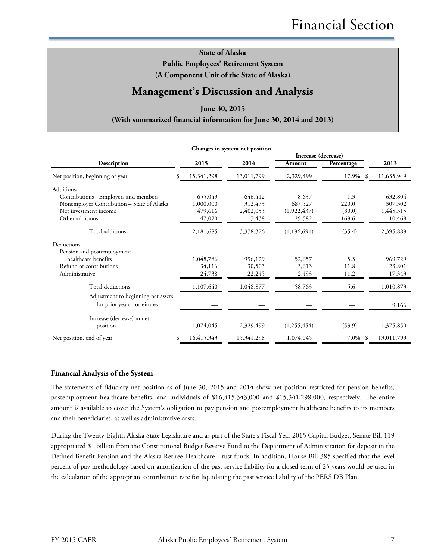**Public Employees' Retirement System**

**(A Component Unit of the State of Alaska)**

### **Management's Discussion and Analysis**

**June 30, 2015**

**(With summarized financial information for June 30, 2014 and 2013)**

| Changes in system net position             |    |            |            |                     |            |            |  |
|--------------------------------------------|----|------------|------------|---------------------|------------|------------|--|
|                                            |    |            |            | Increase (decrease) |            |            |  |
| Description                                |    | 2015       | 2014       | Amount              | Percentage | 2013       |  |
| Net position, beginning of year            | \$ | 15,341,298 | 13,011,799 | 2,329,499           | 17.9% \$   | 11,635,949 |  |
| Additions:                                 |    |            |            |                     |            |            |  |
| Contributions - Employers and members      |    | 655,049    | 646,412    | 8,637               | 1.3        | 632,804    |  |
| Nonemployer Contribution - State of Alaska |    | 1,000,000  | 312,473    | 687,527             | 220.0      | 307,302    |  |
| Net investment income                      |    | 479,616    | 2,402,053  | (1,922,437)         | (80.0)     | 1,445,315  |  |
| Other additions                            |    | 47,020     | 17,438     | 29,582              | 169.6      | 10,468     |  |
| Total additions                            |    | 2,181,685  | 3,378,376  | (1,196,691)         | (35.4)     | 2,395,889  |  |
| Deductions:                                |    |            |            |                     |            |            |  |
| Pension and postemployment                 |    |            |            |                     |            |            |  |
| healthcare benefits                        |    | 1,048,786  | 996,129    | 52,657              | 5.3        | 969,729    |  |
| Refund of contributions                    |    | 34,116     | 30,503     | 3,613               | 11.8       | 23,801     |  |
| Administrative                             |    | 24,738     | 22,245     | 2,493               | 11.2       | 17,343     |  |
| Total deductions                           |    | 1,107,640  | 1,048,877  | 58,763              | 5.6        | 1,010,873  |  |
| Adjustment to beginning net assets         |    |            |            |                     |            |            |  |
| for prior years' forfeitures               |    |            |            |                     |            | 9,166      |  |
| Increase (decrease) in net                 |    |            |            |                     |            |            |  |
| position                                   |    | 1,074,045  | 2,329,499  | (1,255,454)         | (53.9)     | 1,375,850  |  |
| Net position, end of year                  | \$ | 16,415,343 | 15,341,298 | 1,074,045           | 7.0%       | 13,011,799 |  |

#### **Financial Analysis of the System**

The statements of fiduciary net position as of June 30, 2015 and 2014 show net position restricted for pension benefits, postemployment healthcare benefits, and individuals of \$16,415,343,000 and \$15,341,298,000, respectively. The entire amount is available to cover the System's obligation to pay pension and postemployment healthcare benefits to its members and their beneficiaries, as well as administrative costs.

During the Twenty-Eighth Alaska State Legislature and as part of the State's Fiscal Year 2015 Capital Budget, Senate Bill 119 appropriated \$1 billion from the Constitutional Budget Reserve Fund to the Department of Administration for deposit in the Defined Benefit Pension and the Alaska Retiree Healthcare Trust funds. In addition, House Bill 385 specified that the level percent of pay methodology based on amortization of the past service liability for a closed term of 25 years would be used in the calculation of the appropriate contribution rate for liquidating the past service liability of the PERS DB Plan.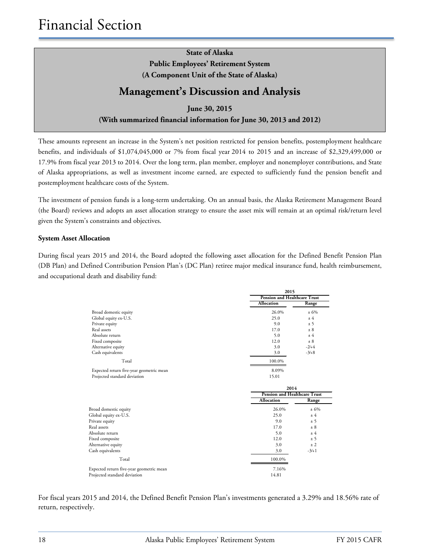### **Management's Discussion and Analysis**

**June 30, 2015**

### **(With summarized financial information for June 30, 2013 and 2012)**

These amounts represent an increase in the System's net position restricted for pension benefits, postemployment healthcare benefits, and individuals of \$1,074,045,000 or 7% from fiscal year 2014 to 2015 and an increase of \$2,329,499,000 or 17.9% from fiscal year 2013 to 2014. Over the long term, plan member, employer and nonemployer contributions, and State of Alaska appropriations, as well as investment income earned, are expected to sufficiently fund the pension benefit and postemployment healthcare costs of the System.

The investment of pension funds is a long-term undertaking. On an annual basis, the Alaska Retirement Management Board (the Board) reviews and adopts an asset allocation strategy to ensure the asset mix will remain at an optimal risk/return level given the System's constraints and objectives.

#### **System Asset Allocation**

During fiscal years 2015 and 2014, the Board adopted the following asset allocation for the Defined Benefit Pension Plan (DB Plan) and Defined Contribution Pension Plan's (DC Plan) retiree major medical insurance fund, health reimbursement, and occupational death and disability fund:

|                                          | 2015                                |         |  |  |
|------------------------------------------|-------------------------------------|---------|--|--|
|                                          | <b>Pension and Healthcare Trust</b> |         |  |  |
|                                          | <b>Allocation</b>                   | Range   |  |  |
| Broad domestic equity                    | 26.0%                               | $± 6\%$ |  |  |
| Global equity ex-U.S.                    | 25.0                                | $+4$    |  |  |
| Private equity                           | 9.0                                 | ± 5     |  |  |
| Real assets                              | 17.0                                | ± 8     |  |  |
| Absolute return                          | 5.0                                 | $+4$    |  |  |
| Fixed composite                          | 12.0                                | ± 8     |  |  |
| Alternative equity                       | 3.0                                 | $-2/44$ |  |  |
| Cash equivalents                         | 3.0                                 | $-3/18$ |  |  |
| Total                                    | 100.0%                              |         |  |  |
| Expected return five-year geometric mean | 8.09%                               |         |  |  |
| Projected standard deviation             | 15.01                               |         |  |  |
|                                          | 2014                                |         |  |  |
|                                          | <b>Pension and Healthcare Trust</b> |         |  |  |
|                                          | <b>Allocation</b>                   | Range   |  |  |
| Broad domestic equity                    | 26.0%                               | ± 6%    |  |  |
| Global equity ex-U.S.                    | 25.0                                | ± 4     |  |  |
| Private equity                           | 9.0                                 | ± 5     |  |  |
| Real assets                              | 17.0                                | ± 8     |  |  |
| Absolute return                          | 5.0                                 | $+4$    |  |  |
| Fixed composite                          | 12.0                                | ± 5     |  |  |
| Alternative equity                       | 3.0                                 | ± 2     |  |  |
| Cash equivalents                         | 3.0                                 | $-3/1$  |  |  |
| Total                                    | 100.0%                              |         |  |  |
| Expected return five-year geometric mean | 7.16%                               |         |  |  |
| Projected standard deviation             | 14.81                               |         |  |  |
|                                          |                                     |         |  |  |

For fiscal years 2015 and 2014, the Defined Benefit Pension Plan's investments generated a 3.29% and 18.56% rate of return, respectively.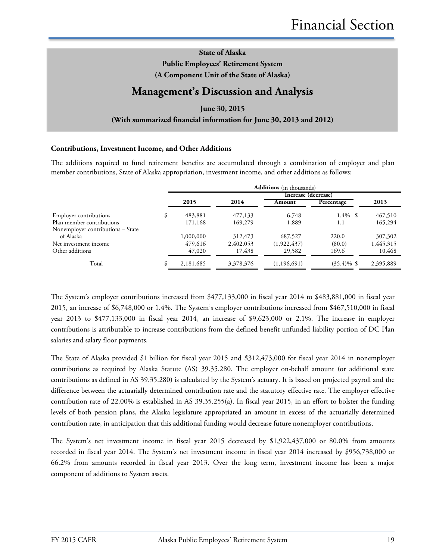### **Management's Discussion and Analysis**

**June 30, 2015**

#### **(With summarized financial information for June 30, 2013 and 2012)**

#### **Contributions, Investment Income, and Other Additions**

The additions required to fund retirement benefits are accumulated through a combination of employer and plan member contributions, State of Alaska appropriation, investment income, and other additions as follows:

|                                   | <b>Additions</b> (in thousands) |           |           |                     |               |           |  |
|-----------------------------------|---------------------------------|-----------|-----------|---------------------|---------------|-----------|--|
|                                   |                                 |           |           | Increase (decrease) |               |           |  |
|                                   |                                 | 2015      | 2014      | Amount              | Percentage    | 2013      |  |
| Employer contributions            | \$                              | 483,881   | 477,133   | 6,748               | $1.4\%$ \$    | 467,510   |  |
| Plan member contributions         |                                 | 171,168   | 169,279   | 1,889               | 1.1           | 165,294   |  |
| Nonemployer contributions - State |                                 |           |           |                     |               |           |  |
| of Alaska                         |                                 | 1,000,000 | 312,473   | 687,527             | 220.0         | 307,302   |  |
| Net investment income             |                                 | 479,616   | 2,402,053 | (1,922,437)         | (80.0)        | 1,445,315 |  |
| Other additions                   |                                 | 47,020    | 17,438    | 29,582              | 169.6         | 10,468    |  |
| Total                             | \$                              | 2,181,685 | 3,378,376 | (1,196,691)         | $(35.4)\%$ \$ | 2,395,889 |  |

The System's employer contributions increased from \$477,133,000 in fiscal year 2014 to \$483,881,000 in fiscal year 2015, an increase of \$6,748,000 or 1.4%. The System's employer contributions increased from \$467,510,000 in fiscal year 2013 to \$477,133,000 in fiscal year 2014, an increase of \$9,623,000 or 2.1%. The increase in employer contributions is attributable to increase contributions from the defined benefit unfunded liability portion of DC Plan salaries and salary floor payments.

The State of Alaska provided \$1 billion for fiscal year 2015 and \$312,473,000 for fiscal year 2014 in nonemployer contributions as required by Alaska Statute (AS) 39.35.280. The employer on-behalf amount (or additional state contributions as defined in AS 39.35.280) is calculated by the System's actuary. It is based on projected payroll and the difference between the actuarially determined contribution rate and the statutory effective rate. The employer effective contribution rate of 22.00% is established in AS 39.35.255(a). In fiscal year 2015, in an effort to bolster the funding levels of both pension plans, the Alaska legislature appropriated an amount in excess of the actuarially determined contribution rate, in anticipation that this additional funding would decrease future nonemployer contributions.

The System's net investment income in fiscal year 2015 decreased by \$1,922,437,000 or 80.0% from amounts recorded in fiscal year 2014. The System's net investment income in fiscal year 2014 increased by \$956,738,000 or 66.2% from amounts recorded in fiscal year 2013. Over the long term, investment income has been a major component of additions to System assets.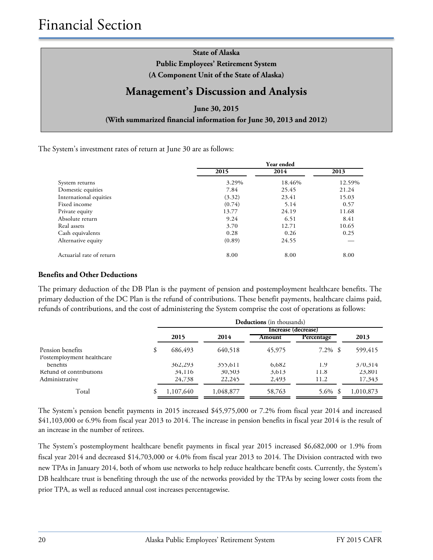| <b>State of Alaska</b>                     |  |  |  |  |  |
|--------------------------------------------|--|--|--|--|--|
| <b>Public Employees' Retirement System</b> |  |  |  |  |  |
| (A Component Unit of the State of Alaska)  |  |  |  |  |  |

### **Management's Discussion and Analysis**

**June 30, 2015**

**(With summarized financial information for June 30, 2013 and 2012)**

The System's investment rates of return at June 30 are as follows:

|                          | Year ended |        |        |  |  |  |  |
|--------------------------|------------|--------|--------|--|--|--|--|
|                          | 2015       | 2014   | 2013   |  |  |  |  |
| System returns           | 3.29%      | 18.46% | 12.59% |  |  |  |  |
| Domestic equities        | 7.84       | 25.45  | 21.24  |  |  |  |  |
| International equities   | (3.32)     | 23.41  | 15.03  |  |  |  |  |
| Fixed income             | (0.74)     | 5.14   | 0.57   |  |  |  |  |
| Private equity           | 13.77      | 24.19  | 11.68  |  |  |  |  |
| Absolute return          | 9.24       | 6.51   | 8.41   |  |  |  |  |
| Real assets              | 3.70       | 12.71  | 10.65  |  |  |  |  |
| Cash equivalents         | 0.28       | 0.26   | 0.25   |  |  |  |  |
| Alternative equity       | (0.89)     | 24.55  |        |  |  |  |  |
| Actuarial rate of return | 8.00       | 8.00   | 8.00   |  |  |  |  |

#### **Benefits and Other Deductions**

The primary deduction of the DB Plan is the payment of pension and postemployment healthcare benefits. The primary deduction of the DC Plan is the refund of contributions. These benefit payments, healthcare claims paid, refunds of contributions, and the cost of administering the System comprise the cost of operations as follows:

|                                              | <b>Deductions</b> (in thousands) |           |                     |            |           |  |  |
|----------------------------------------------|----------------------------------|-----------|---------------------|------------|-----------|--|--|
|                                              |                                  |           | Increase (decrease) |            |           |  |  |
|                                              | 2015                             | 2014      | Amount              | Percentage | 2013      |  |  |
| Pension benefits                             | 686,493                          | 640,518   | 45,975              | $7.2\%$ \$ | 599,415   |  |  |
| Postemployment healthcare<br><b>benefits</b> | 362,293                          | 355,611   | 6,682               | 1.9        | 370,314   |  |  |
| Refund of contributions                      | 34,116                           | 30,503    | 3,613               | 11.8       | 23,801    |  |  |
| Administrative                               | 24,738                           | 22,245    | 2,493               | 11.2       | 17,343    |  |  |
| Total                                        | 1,107,640                        | 1,048,877 | 58,763              | 5.6%       | 1,010,873 |  |  |

The System's pension benefit payments in 2015 increased \$45,975,000 or 7.2% from fiscal year 2014 and increased \$41,103,000 or 6.9% from fiscal year 2013 to 2014. The increase in pension benefits in fiscal year 2014 is the result of an increase in the number of retirees.

The System's postemployment healthcare benefit payments in fiscal year 2015 increased \$6,682,000 or 1.9% from fiscal year 2014 and decreased \$14,703,000 or 4.0% from fiscal year 2013 to 2014. The Division contracted with two new TPAs in January 2014, both of whom use networks to help reduce healthcare benefit costs. Currently, the System's DB healthcare trust is benefiting through the use of the networks provided by the TPAs by seeing lower costs from the prior TPA, as well as reduced annual cost increases percentagewise.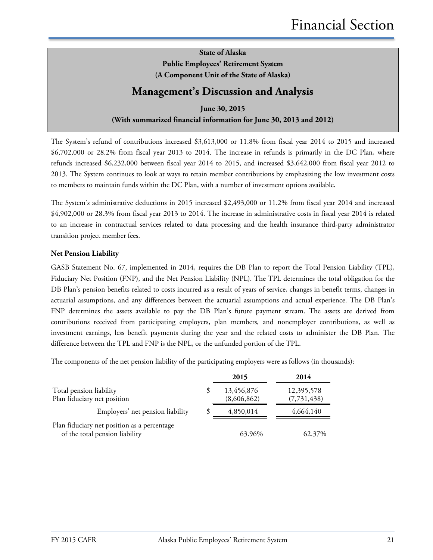### **Management's Discussion and Analysis**

**June 30, 2015 (With summarized financial information for June 30, 2013 and 2012)**

The System's refund of contributions increased \$3,613,000 or 11.8% from fiscal year 2014 to 2015 and increased \$6,702,000 or 28.2% from fiscal year 2013 to 2014. The increase in refunds is primarily in the DC Plan, where refunds increased \$6,232,000 between fiscal year 2014 to 2015, and increased \$3,642,000 from fiscal year 2012 to 2013. The System continues to look at ways to retain member contributions by emphasizing the low investment costs to members to maintain funds within the DC Plan, with a number of investment options available.

The System's administrative deductions in 2015 increased \$2,493,000 or 11.2% from fiscal year 2014 and increased \$4,902,000 or 28.3% from fiscal year 2013 to 2014. The increase in administrative costs in fiscal year 2014 is related to an increase in contractual services related to data processing and the health insurance third-party administrator transition project member fees.

### **Net Pension Liability**

GASB Statement No. 67, implemented in 2014, requires the DB Plan to report the Total Pension Liability (TPL), Fiduciary Net Position (FNP), and the Net Pension Liability (NPL). The TPL determines the total obligation for the DB Plan's pension benefits related to costs incurred as a result of years of service, changes in benefit terms, changes in actuarial assumptions, and any differences between the actuarial assumptions and actual experience. The DB Plan's FNP determines the assets available to pay the DB Plan's future payment stream. The assets are derived from contributions received from participating employers, plan members, and nonemployer contributions, as well as investment earnings, less benefit payments during the year and the related costs to administer the DB Plan. The difference between the TPL and FNP is the NPL, or the unfunded portion of the TPL.

The components of the net pension liability of the participating employers were as follows (in thousands):

|                                                                               | 2015                      | 2014                      |
|-------------------------------------------------------------------------------|---------------------------|---------------------------|
| Total pension liability<br>Plan fiduciary net position                        | 13,456,876<br>(8,606,862) | 12,395,578<br>(7,731,438) |
| Employers' net pension liability                                              | 4,850,014                 | 4,664,140                 |
| Plan fiduciary net position as a percentage<br>of the total pension liability | 63.96%                    | 62.37%                    |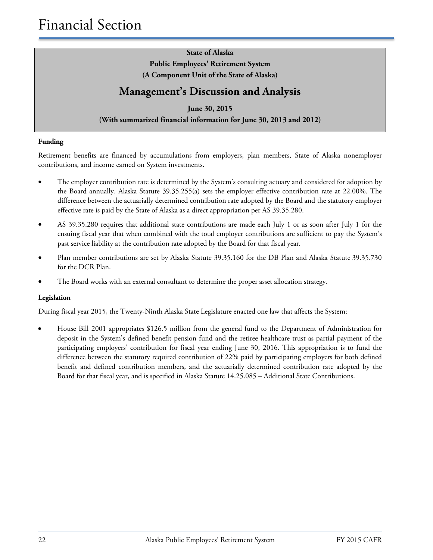### **Management's Discussion and Analysis**

**June 30, 2015**

### **(With summarized financial information for June 30, 2013 and 2012)**

### **Funding**

Retirement benefits are financed by accumulations from employers, plan members, State of Alaska nonemployer contributions, and income earned on System investments.

- The employer contribution rate is determined by the System's consulting actuary and considered for adoption by the Board annually. Alaska Statute 39.35.255(a) sets the employer effective contribution rate at 22.00%. The difference between the actuarially determined contribution rate adopted by the Board and the statutory employer effective rate is paid by the State of Alaska as a direct appropriation per AS 39.35.280.
- AS 39.35.280 requires that additional state contributions are made each July 1 or as soon after July 1 for the ensuing fiscal year that when combined with the total employer contributions are sufficient to pay the System's past service liability at the contribution rate adopted by the Board for that fiscal year.
- Plan member contributions are set by Alaska Statute 39.35.160 for the DB Plan and Alaska Statute 39.35.730 for the DCR Plan.
- The Board works with an external consultant to determine the proper asset allocation strategy.

### **Legislation**

During fiscal year 2015, the Twenty-Ninth Alaska State Legislature enacted one law that affects the System:

• House Bill 2001 appropriates \$126.5 million from the general fund to the Department of Administration for deposit in the System's defined benefit pension fund and the retiree healthcare trust as partial payment of the participating employers' contribution for fiscal year ending June 30, 2016. This appropriation is to fund the difference between the statutory required contribution of 22% paid by participating employers for both defined benefit and defined contribution members, and the actuarially determined contribution rate adopted by the Board for that fiscal year, and is specified in Alaska Statute 14.25.085 – Additional State Contributions.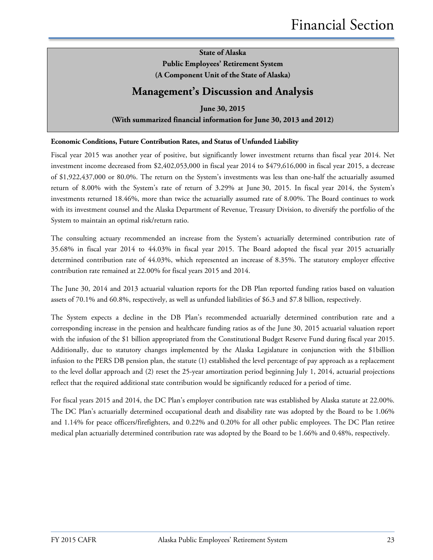### **Management's Discussion and Analysis**

**June 30, 2015 (With summarized financial information for June 30, 2013 and 2012)**

#### **Economic Conditions, Future Contribution Rates, and Status of Unfunded Liability**

Fiscal year 2015 was another year of positive, but significantly lower investment returns than fiscal year 2014. Net investment income decreased from \$2,402,053,000 in fiscal year 2014 to \$479,616,000 in fiscal year 2015, a decrease of \$1,922,437,000 or 80.0%. The return on the System's investments was less than one-half the actuarially assumed return of 8.00% with the System's rate of return of 3.29% at June 30, 2015. In fiscal year 2014, the System's investments returned 18.46%, more than twice the actuarially assumed rate of 8.00%. The Board continues to work with its investment counsel and the Alaska Department of Revenue, Treasury Division, to diversify the portfolio of the System to maintain an optimal risk/return ratio.

The consulting actuary recommended an increase from the System's actuarially determined contribution rate of 35.68% in fiscal year 2014 to 44.03% in fiscal year 2015. The Board adopted the fiscal year 2015 actuarially determined contribution rate of 44.03%, which represented an increase of 8.35%. The statutory employer effective contribution rate remained at 22.00% for fiscal years 2015 and 2014.

The June 30, 2014 and 2013 actuarial valuation reports for the DB Plan reported funding ratios based on valuation assets of 70.1% and 60.8%, respectively, as well as unfunded liabilities of \$6.3 and \$7.8 billion, respectively.

The System expects a decline in the DB Plan's recommended actuarially determined contribution rate and a corresponding increase in the pension and healthcare funding ratios as of the June 30, 2015 actuarial valuation report with the infusion of the \$1 billion appropriated from the Constitutional Budget Reserve Fund during fiscal year 2015. Additionally, due to statutory changes implemented by the Alaska Legislature in conjunction with the \$1billion infusion to the PERS DB pension plan, the statute (1) established the level percentage of pay approach as a replacement to the level dollar approach and (2) reset the 25-year amortization period beginning July 1, 2014, actuarial projections reflect that the required additional state contribution would be significantly reduced for a period of time.

For fiscal years 2015 and 2014, the DC Plan's employer contribution rate was established by Alaska statute at 22.00%. The DC Plan's actuarially determined occupational death and disability rate was adopted by the Board to be 1.06% and 1.14% for peace officers/firefighters, and 0.22% and 0.20% for all other public employees. The DC Plan retiree medical plan actuarially determined contribution rate was adopted by the Board to be 1.66% and 0.48%, respectively.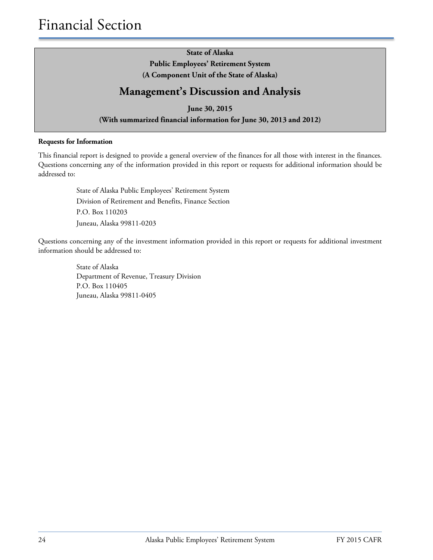### **Management's Discussion and Analysis**

**June 30, 2015**

### **(With summarized financial information for June 30, 2013 and 2012)**

#### **Requests for Information**

This financial report is designed to provide a general overview of the finances for all those with interest in the finances. Questions concerning any of the information provided in this report or requests for additional information should be addressed to:

> State of Alaska Public Employees' Retirement System Division of Retirement and Benefits, Finance Section P.O. Box 110203 Juneau, Alaska 99811-0203

Questions concerning any of the investment information provided in this report or requests for additional investment information should be addressed to:

> State of Alaska Department of Revenue, Treasury Division P.O. Box 110405 Juneau, Alaska 99811-0405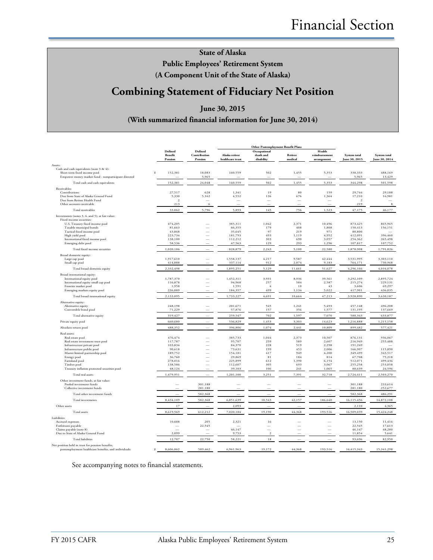**Public Employees' Retirement System**

**(A Component Unit of the State of Alaska)**

### **Combining Statement of Fiduciary Net Position**

**June 30, 2015**

**(With summarized financial information for June 30, 2014)**

|                                                                                     | Other Postemployment Benefit Plans |                                                      |                  |                          |                          |                          |                     |                     |
|-------------------------------------------------------------------------------------|------------------------------------|------------------------------------------------------|------------------|--------------------------|--------------------------|--------------------------|---------------------|---------------------|
|                                                                                     | Defined                            | <b>Defined</b>                                       |                  | Occupational             |                          | Health                   |                     |                     |
|                                                                                     | Benefit                            | Contribution                                         | Alaska retiree   | death and                | Retiree                  | reimbursement            | <b>System</b> total | <b>System</b> total |
|                                                                                     | Pension                            | Pension                                              | healthcare trust | disability               | medical                  | arrangement              | June 30, 2015       | June 30, 2014       |
| Assets:<br>Cash and cash equivalents (note 3 & 4):                                  |                                    |                                                      |                  |                          |                          |                          |                     |                     |
| Short-term fixed income pool<br>Empower money market fund - nonparticipant directed | 152,381<br>\$                      | 18,083<br>5,965                                      | 160,559          | 502                      | 1,455                    | 5,353                    | 338,333<br>5,965    | 488,169<br>13,429   |
|                                                                                     |                                    |                                                      |                  |                          |                          |                          |                     |                     |
| Total cash and cash equivalents                                                     | 152,381                            | 24,048                                               | 160,559          | 502                      | 1,455                    | 5,353                    | 344,298             | 501,598             |
| Receivables:                                                                        |                                    |                                                      |                  |                          |                          |                          |                     |                     |
| Contributions<br>Due from State of Alaska General Fund                              | 27,517<br>5,330                    | 628<br>5,162                                         | 1,341<br>4,552   | 19<br>126                | 80<br>676                | 159<br>1,364             | 29,744<br>17,210    | 29,188<br>16,981    |
| Due from Retiree Health Fund                                                        | $\mathcal{L}$                      |                                                      |                  | $\overline{\phantom{a}}$ | $\overline{\phantom{a}}$ |                          | $\overline{2}$      |                     |
| Other accounts receivable                                                           | 213                                | 6                                                    |                  | $\overline{\phantom{0}}$ | $\overline{\phantom{0}}$ | $\overline{\phantom{0}}$ | 219                 | $\bf8$              |
| Total receivables                                                                   | 33,062                             | 5,796                                                | 5,893            | 145                      | 756                      | 1,523                    | 47,175              | 46,177              |
| Investments (notes 3, 4, and 5), at fair value:                                     |                                    |                                                      |                  |                          |                          |                          |                     |                     |
| Fixed income securities:                                                            |                                    |                                                      |                  |                          |                          |                          |                     |                     |
| U.S. Treasury fixed income pool                                                     | 474,205                            |                                                      | 385,311          | 1,042                    | 2,371                    | 10,496                   | 873,425             | 865,965             |
| Taxable municipal bonds<br>Tactical fixed income pool                               | 81,663<br>43,868                   | $\overline{\phantom{0}}$<br>÷,                       | 66,355<br>35,645 | 179<br>97                | 408<br>219               | 1,808<br>971             | 150,413<br>80,800   | 156,151             |
| High yield pool                                                                     | 223,734                            | $\overline{\phantom{0}}$                             | 181,793          | 493                      | 1,119                    | 4,952                    | 412,091             | 396,460             |
| International fixed income pool                                                     | 138,100                            | $\overline{\phantom{0}}$                             | 112,212          | 303                      | 690                      | 3,057                    | 254,362             | 265,498             |
| Emerging debt pool                                                                  | 58,536                             | ÷,                                                   | 47,563           | 129                      | 293                      | 1,296                    | 107,817             | 107,752             |
| Total fixed income securities                                                       | 1,020,106                          |                                                      | 828,879          | 2,243                    | 5,100                    | 22,580                   | 1,878,908           | 1,791,826           |
| Broad domestic equity:                                                              |                                    |                                                      |                  |                          |                          |                          |                     |                     |
| Large cap pool                                                                      | 1.917.610                          | $\overline{\phantom{0}}$                             | 1,558,137        | 4,217                    | 9,587                    | 42.444                   | 3,531,995           | 3,303,110           |
| Small cap pool                                                                      | 414,888                            | $\overline{\phantom{0}}$                             | 337,114          | 912                      | 2,074                    | 9,183                    | 764,171             | 730,968             |
| Total broad domestic equity                                                         | 2,332,498                          | $\overline{\phantom{0}}$                             | 1,895,251        | 5,129                    | 11,661                   | 51,627                   | 4,296,166           | 4,034,078           |
| Broad international equity:                                                         |                                    |                                                      |                  |                          |                          |                          |                     |                     |
| International equity pool                                                           | 1,787,370                          | ÷                                                    | 1,452,311        | 3,931                    | 8,936                    | 39.561                   | 3,292,109           | 2,895,724           |
| International equity small cap pool                                                 | 116,878                            | -                                                    | 94,968           | 257                      | 584                      | 2,587                    | 215,274             | 229,131             |
| Frontier market pool                                                                | 1,958                              | $\overline{\phantom{0}}$                             | 1,591            | $\overline{4}$           | 10                       | 43                       | 3,606               | 69,297              |
| Emerging markets equity pool                                                        | 226,889                            |                                                      | 184,357          | 499                      | 1,134                    | 5,022                    | 417,901             | 436,035             |
| Total broad international equity                                                    | 2,133,095                          | $\overline{\phantom{0}}$                             | 1,733,227        | 4,691                    | 10,664                   | 47,213                   | 3,928,890           | 3,630,187           |
| Alternative equity:                                                                 |                                    |                                                      |                  |                          |                          |                          |                     |                     |
| Alternative equity                                                                  | 248,198                            |                                                      | 201,671          | 545                      | 1,241                    | 5,493                    | 457,148             | 496,208             |
| Convertible bond pool                                                               | 71,229                             | $\overline{\phantom{0}}$                             | 57,876           | 157                      | 356                      | 1,577                    | 131,195             | 137,669             |
| Total alternative equity                                                            | 319,427                            |                                                      | 259,547          | 702                      | 1,597                    | 7,070                    | 588,343             | 633,877             |
| Private equity pool                                                                 | 660,680                            | $\overline{\phantom{0}}$                             | 536,829          | 1,453                    | 3,303                    | 14,623                   | 1,216,888           | 1,215,158           |
| Absolute return pool                                                                | 488,352                            | $\equiv$                                             | 396,806          | 1,074                    | 2,441                    | 10,809                   | 899,482             | 577,421             |
| Real assets:                                                                        |                                    |                                                      |                  |                          |                          |                          |                     |                     |
| Real estate pool                                                                    | 476,474                            |                                                      | 385,733          | 1,044                    | 2,373                    | 10,507                   | 876,131             | 936,067             |
| Real estate investment trust pool                                                   | 117,787                            | $\overline{\phantom{0}}$                             | 95,707           | 259                      | 589                      | 2,607                    | 216,949             | 255,488             |
| Infrastructure private pool<br>Infrastructure public pool                           | 103,834<br>90,618                  | $\overline{\phantom{0}}$<br>$\overline{\phantom{0}}$ | 84,370<br>73,631 | 228<br>199               | 519<br>453               | 2,298<br>2,006           | 191,249<br>166,907  | 115,890             |
| Master limited partnership pool                                                     | 189,752                            | -                                                    | 154,181          | 417                      | 949                      | 4,200                    | 349,499             | 343,517             |
| Energy pool                                                                         | 36,760                             | $\overline{\phantom{0}}$                             | 29,869           | 81                       | 184                      | 814                      | 67,708              | 75,218              |
| Farmland pool                                                                       | 278,016                            | -                                                    | 225,899          | 612                      | 1,390                    | 6,154                    | 512,071             | 499,436             |
| Timber pool                                                                         | 138,586                            |                                                      | 112,607          | 305                      | 693                      | 3,067                    | 255,258             | 253,058             |
| Treasury inflation protected securities pool                                        | 48,124                             | $\overline{\phantom{0}}$                             | 39,103           | 106                      | 241                      | 1,065                    | 88,639              | 24,596              |
| Total real assets                                                                   | 1,479,951                          | -                                                    | 1,201,100        | 3,251                    | 7,391                    | 32,718                   | 2,724,411           | 2,503,270           |
| Other investment funds, at fair value:                                              |                                    |                                                      |                  |                          |                          |                          |                     |                     |
| Pooled investment funds                                                             |                                    | 301,188                                              |                  |                          |                          | -                        | 301,188             | 233,614             |
| Collective investment funds                                                         |                                    | 281,180                                              |                  |                          |                          |                          | 281,180             | 252,677             |
| Total other investment funds                                                        |                                    | 582,368                                              |                  |                          |                          |                          | 582,368             | 486,291             |
| Total investments                                                                   | 8,434,109                          | 582,368                                              | 6,851,639        | 18,543                   | 42,157                   | 186,640                  | 16,115,456          | 14,872,108          |
| Other assets                                                                        | 17                                 |                                                      | 2,093            |                          |                          |                          | 2,110               | 4,365               |
| Total assets                                                                        | 8,619,569                          | 612,212                                              | 7,020,184        | 19,190                   | 44,368                   | 193,516                  | 16,509,039          | 15,424,248          |
| Liabilities:                                                                        |                                    |                                                      |                  |                          |                          |                          |                     |                     |
| Accrued expenses                                                                    | 10,608                             | 205                                                  | 2,321            | 16                       |                          |                          | 13,150              | 11,416              |
| Forfeitures payable                                                                 |                                    | 22,545                                               |                  | $\overline{\phantom{a}}$ | $\overline{\phantom{a}}$ | -                        | 22,545              | 17,613              |
| Claims payable (note 8)                                                             |                                    |                                                      | 46,147           |                          |                          |                          | 46,147              | 48,280              |
| Due to State of Alaska General Fund                                                 | 2,099                              |                                                      | 9,753            | $\,2$                    |                          |                          | 11,854              | 5,641               |
| <b>Total liabilities</b>                                                            | 12,707                             | 22,750                                               | 58,221           | $1\,8$                   |                          |                          | 93,696              | 82,950              |
| Net position held in trust for pension benefits,                                    |                                    |                                                      |                  |                          |                          |                          |                     |                     |
| postemployment healthcare benefits, and individuals:                                | 8,606,862<br>$\dot{\mathbf{x}}$    | 589,462                                              | 6,961,963        | 19,172                   | 44,368                   | 193,516                  | 16,415,343          | 15,341,298          |

See accompanying notes to financial statements.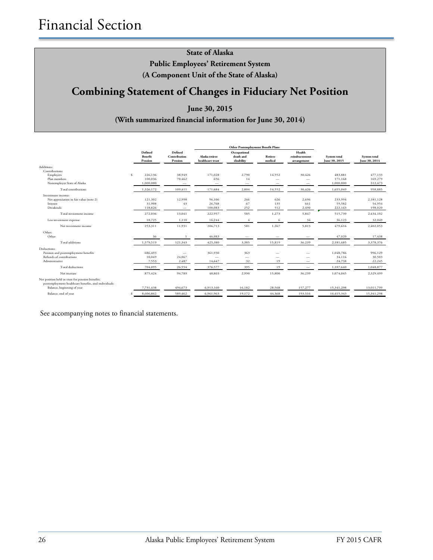**Public Employees' Retirement System**

**(A Component Unit of the State of Alaska)**

### **Combining Statement of Changes in Fiduciary Net Position**

**June 30, 2015**

**(With summarized financial information for June 30, 2014)**

|                                                                                                          | <b>Other Postemployment Benefit Plans</b> |                               |                                    |                                    |                                         |                    |                                        |                               |                                      |
|----------------------------------------------------------------------------------------------------------|-------------------------------------------|-------------------------------|------------------------------------|------------------------------------|-----------------------------------------|--------------------|----------------------------------------|-------------------------------|--------------------------------------|
|                                                                                                          |                                           | Defined<br>Benefit<br>Pension | Defined<br>Contribution<br>Pension | Alaska retiree<br>healthcare trust | Occupational<br>death and<br>disability | Retiree<br>medical | Health<br>reimbursement<br>arrangement | System total<br>June 30, 2015 | <b>System</b> total<br>June 30, 2014 |
| Additions:                                                                                               |                                           |                               |                                    |                                    |                                         |                    |                                        |                               |                                      |
| Contributions:                                                                                           |                                           |                               |                                    |                                    |                                         |                    |                                        |                               |                                      |
| Employers                                                                                                | Ŝ.                                        | 226,136                       | 38,949                             | 171,028                            | 2,790                                   | 14,552             | 30,426                                 | 483,881                       | 477,133                              |
| Plan members                                                                                             |                                           | 100,036                       | 70,462                             | 656                                | 14                                      | -                  | -                                      | 171,168                       | 169,279                              |
| Nonemployer State of Alaska                                                                              |                                           | 1,000,000                     | -                                  | $\overline{\phantom{m}}$           | -                                       |                    | $\overline{\phantom{m}}$               | 1,000,000                     | 312,473                              |
| Total contributions                                                                                      |                                           | 1,326,172                     | 109,411                            | 171,684                            | 2,804                                   | 14,552             | 30,426                                 | 1,655,049                     | 958,885                              |
| Investment income:                                                                                       |                                           |                               |                                    |                                    |                                         |                    |                                        |                               |                                      |
| Net appreciation in fair value (note 2)                                                                  |                                           | 121.302                       | 12.998                             | 96.106                             | 266                                     | 626                | 2.696                                  | 233,994                       | 2.181.128                            |
| Interest                                                                                                 |                                           | 31,908                        | 43                                 | 26,768                             | 67                                      | 135                | 661                                    | 59,582                        | 54,954                               |
| <b>Dividends</b>                                                                                         |                                           | 118,826                       | $\qquad \qquad$                    | 100,083                            | 252                                     | 512                | 2,490                                  | 222,163                       | 198,020                              |
| Total investment income                                                                                  |                                           | 272,036                       | 13.041                             | 222,957                            | 585                                     | 1,273              | 5.847                                  | 515,739                       | 2.434.102                            |
| Less investment expense                                                                                  |                                           | 18,725                        | 1,110                              | 16.244                             | 4                                       | 6                  | 34                                     | 36,123                        | 32.049                               |
| Net investment income                                                                                    |                                           | 253,311                       | 11,931                             | 206,713                            | 581                                     | 1,267              | 5,813                                  | 479,616                       | 2,402,053                            |
| Other:                                                                                                   |                                           |                               |                                    |                                    |                                         |                    |                                        |                               |                                      |
| Other                                                                                                    |                                           | 36                            |                                    | 46,983                             |                                         |                    | $\overline{\phantom{a}}$               | 47,020                        | 17,438                               |
| Total additions                                                                                          |                                           | 1,579,519                     | 121,343                            | 425,380                            | 3,385                                   | 15,819             | 36,239                                 | 2,181,685                     | 3,378,376                            |
| Deductions:                                                                                              |                                           |                               |                                    |                                    |                                         |                    |                                        |                               |                                      |
| Pension and postemployment benefits                                                                      |                                           | 686.493                       | $\overline{\phantom{m}}$           | 361,930                            | 363                                     |                    |                                        | 1.048.786                     | 996.129                              |
| Refunds of contributions                                                                                 |                                           | 10,049                        | 24,067                             | -                                  |                                         |                    |                                        | 34,116                        | 30,503                               |
| Administrative                                                                                           |                                           | 7,553                         | 2,487                              | 14,647                             | 32                                      | 19                 |                                        | 24,738                        | 22,245                               |
| Total deductions                                                                                         |                                           | 704,095                       | 26,554                             | 376,577                            | 395                                     | 19                 | $\overline{\phantom{m}}$               | 1,107,640                     | 1.048.877                            |
| Net increase                                                                                             |                                           | 875,424                       | 94,789                             | 48,803                             | 2,990                                   | 15,800             | 36,239                                 | 1,074,045                     | 2,329,499                            |
| Net position held in trust for pension benefits,<br>postemployment healthcare benefits, and individuals: |                                           |                               |                                    |                                    |                                         |                    |                                        |                               |                                      |
| Balance, beginning of year                                                                               |                                           | 7,731,438                     | 494,673                            | 6,913,160                          | 16,182                                  | 28,568             | 157,277                                | 15,341,298                    | 13,011,799                           |
| Balance, end of year                                                                                     |                                           | 8,606,862                     | 589,462                            | 6,961,963                          | 19,172                                  | 44,368             | 193,516                                | 16,415,343                    | 15,341,298                           |

See accompanying notes to financial statements.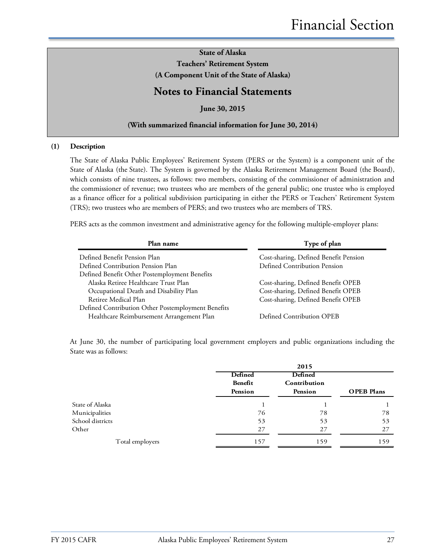**Teachers' Retirement System**

**(A Component Unit of the State of Alaska)**

### **Notes to Financial Statements**

**June 30, 2015**

#### **(With summarized financial information for June 30, 2014)**

#### **(1) Description**

The State of Alaska Public Employees' Retirement System (PERS or the System) is a component unit of the State of Alaska (the State). The System is governed by the Alaska Retirement Management Board (the Board), which consists of nine trustees, as follows: two members, consisting of the commissioner of administration and the commissioner of revenue; two trustees who are members of the general public; one trustee who is employed as a finance officer for a political subdivision participating in either the PERS or Teachers' Retirement System (TRS); two trustees who are members of PERS; and two trustees who are members of TRS.

PERS acts as the common investment and administrative agency for the following multiple-employer plans:

| Plan name                                          | Type of plan                          |
|----------------------------------------------------|---------------------------------------|
| Defined Benefit Pension Plan                       | Cost-sharing, Defined Benefit Pension |
| Defined Contribution Pension Plan                  | Defined Contribution Pension          |
| Defined Benefit Other Postemployment Benefits      |                                       |
| Alaska Retiree Healthcare Trust Plan               | Cost-sharing, Defined Benefit OPEB    |
| Occupational Death and Disability Plan             | Cost-sharing, Defined Benefit OPEB    |
| Retiree Medical Plan                               | Cost-sharing, Defined Benefit OPEB    |
| Defined Contribution Other Postemployment Benefits |                                       |
| Healthcare Reimbursement Arrangement Plan          | Defined Contribution OPEB             |
|                                                    |                                       |

At June 30, the number of participating local government employers and public organizations including the State was as follows:

| 2015    |              |                   |  |  |  |
|---------|--------------|-------------------|--|--|--|
| Defined | Defined      |                   |  |  |  |
| Benefit | Contribution |                   |  |  |  |
| Pension | Pension      | <b>OPEB</b> Plans |  |  |  |
|         |              |                   |  |  |  |
| 76      | 78           | 78                |  |  |  |
| 53      | 53           | 53                |  |  |  |
| 27      | 27           | 27                |  |  |  |
| 157     | 159          | 159               |  |  |  |
|         |              |                   |  |  |  |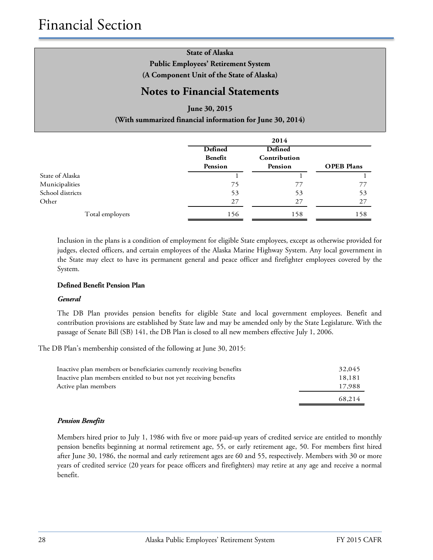### **Notes to Financial Statements**

**June 30, 2015**

**(With summarized financial information for June 30, 2014)**

|                  | 2014    |              |                   |
|------------------|---------|--------------|-------------------|
|                  | Defined | Defined      |                   |
|                  | Benefit | Contribution |                   |
|                  | Pension | Pension      | <b>OPEB Plans</b> |
| State of Alaska  |         |              |                   |
| Municipalities   | 75      | 77           | 77                |
| School districts | 53      | 53           | 53                |
| Other            | 27      | 27           | 27                |
| Total employers  | 156     | 158          | 158               |

Inclusion in the plans is a condition of employment for eligible State employees, except as otherwise provided for judges, elected officers, and certain employees of the Alaska Marine Highway System. Any local government in the State may elect to have its permanent general and peace officer and firefighter employees covered by the System.

#### **Defined Benefit Pension Plan**

#### *General*

The DB Plan provides pension benefits for eligible State and local government employees. Benefit and contribution provisions are established by State law and may be amended only by the State Legislature. With the passage of Senate Bill (SB) 141, the DB Plan is closed to all new members effective July 1, 2006.

The DB Plan's membership consisted of the following at June 30, 2015:

| Inactive plan members or beneficiaries currently receiving benefits | 32,045 |
|---------------------------------------------------------------------|--------|
| Inactive plan members entitled to but not yet receiving benefits    | 18,181 |
| Active plan members                                                 | 17,988 |
|                                                                     | 68.214 |
|                                                                     |        |

#### *Pension Benefits*

Members hired prior to July 1, 1986 with five or more paid-up years of credited service are entitled to monthly pension benefits beginning at normal retirement age, 55, or early retirement age, 50. For members first hired after June 30, 1986, the normal and early retirement ages are 60 and 55, respectively. Members with 30 or more years of credited service (20 years for peace officers and firefighters) may retire at any age and receive a normal benefit.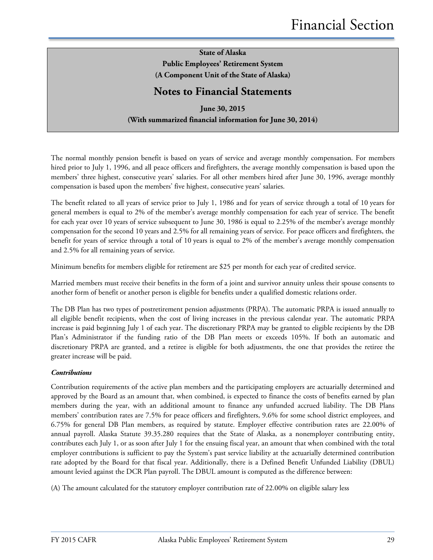### **Notes to Financial Statements**

**June 30, 2015 (With summarized financial information for June 30, 2014)**

The normal monthly pension benefit is based on years of service and average monthly compensation. For members hired prior to July 1, 1996, and all peace officers and firefighters, the average monthly compensation is based upon the members' three highest, consecutive years' salaries. For all other members hired after June 30, 1996, average monthly compensation is based upon the members' five highest, consecutive years' salaries.

The benefit related to all years of service prior to July 1, 1986 and for years of service through a total of 10 years for general members is equal to 2% of the member's average monthly compensation for each year of service. The benefit for each year over 10 years of service subsequent to June 30, 1986 is equal to 2.25% of the member's average monthly compensation for the second 10 years and 2.5% for all remaining years of service. For peace officers and firefighters, the benefit for years of service through a total of 10 years is equal to 2% of the member's average monthly compensation and 2.5% for all remaining years of service.

Minimum benefits for members eligible for retirement are \$25 per month for each year of credited service.

Married members must receive their benefits in the form of a joint and survivor annuity unless their spouse consents to another form of benefit or another person is eligible for benefits under a qualified domestic relations order.

The DB Plan has two types of postretirement pension adjustments (PRPA). The automatic PRPA is issued annually to all eligible benefit recipients, when the cost of living increases in the previous calendar year. The automatic PRPA increase is paid beginning July 1 of each year. The discretionary PRPA may be granted to eligible recipients by the DB Plan's Administrator if the funding ratio of the DB Plan meets or exceeds 105%. If both an automatic and discretionary PRPA are granted, and a retiree is eligible for both adjustments, the one that provides the retiree the greater increase will be paid.

### *Contributions*

Contribution requirements of the active plan members and the participating employers are actuarially determined and approved by the Board as an amount that, when combined, is expected to finance the costs of benefits earned by plan members during the year, with an additional amount to finance any unfunded accrued liability. The DB Plans members' contribution rates are 7.5% for peace officers and firefighters, 9.6% for some school district employees, and 6.75% for general DB Plan members, as required by statute. Employer effective contribution rates are 22.00% of annual payroll. Alaska Statute 39.35.280 requires that the State of Alaska, as a nonemployer contributing entity, contributes each July 1, or as soon after July 1 for the ensuing fiscal year, an amount that when combined with the total employer contributions is sufficient to pay the System's past service liability at the actuarially determined contribution rate adopted by the Board for that fiscal year. Additionally, there is a Defined Benefit Unfunded Liability (DBUL) amount levied against the DCR Plan payroll. The DBUL amount is computed as the difference between:

(A) The amount calculated for the statutory employer contribution rate of 22.00% on eligible salary less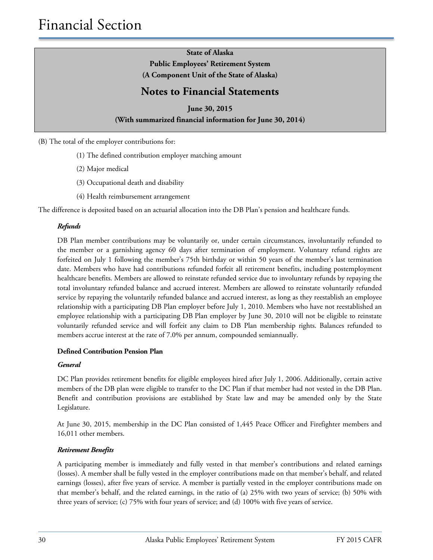### **Notes to Financial Statements**

**June 30, 2015**

**(With summarized financial information for June 30, 2014)**

(B) The total of the employer contributions for:

- (1) The defined contribution employer matching amount
- (2) Major medical
- (3) Occupational death and disability
- (4) Health reimbursement arrangement

The difference is deposited based on an actuarial allocation into the DB Plan's pension and healthcare funds.

### *Refunds*

DB Plan member contributions may be voluntarily or, under certain circumstances, involuntarily refunded to the member or a garnishing agency 60 days after termination of employment. Voluntary refund rights are forfeited on July 1 following the member's 75th birthday or within 50 years of the member's last termination date. Members who have had contributions refunded forfeit all retirement benefits, including postemployment healthcare benefits. Members are allowed to reinstate refunded service due to involuntary refunds by repaying the total involuntary refunded balance and accrued interest. Members are allowed to reinstate voluntarily refunded service by repaying the voluntarily refunded balance and accrued interest, as long as they reestablish an employee relationship with a participating DB Plan employer before July 1, 2010. Members who have not reestablished an employee relationship with a participating DB Plan employer by June 30, 2010 will not be eligible to reinstate voluntarily refunded service and will forfeit any claim to DB Plan membership rights. Balances refunded to members accrue interest at the rate of 7.0% per annum, compounded semiannually.

#### **Defined Contribution Pension Plan**

#### *General*

DC Plan provides retirement benefits for eligible employees hired after July 1, 2006. Additionally, certain active members of the DB plan were eligible to transfer to the DC Plan if that member had not vested in the DB Plan. Benefit and contribution provisions are established by State law and may be amended only by the State Legislature.

At June 30, 2015, membership in the DC Plan consisted of 1,445 Peace Officer and Firefighter members and 16,011 other members.

#### *Retirement Benefits*

A participating member is immediately and fully vested in that member's contributions and related earnings (losses). A member shall be fully vested in the employer contributions made on that member's behalf, and related earnings (losses), after five years of service. A member is partially vested in the employer contributions made on that member's behalf, and the related earnings, in the ratio of (a) 25% with two years of service; (b) 50% with three years of service; (c) 75% with four years of service; and (d) 100% with five years of service.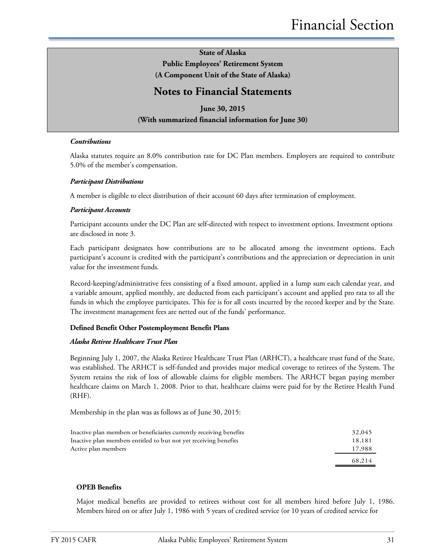### **Notes to Financial Statements**

**June 30, 2015 (With summarized financial information for June 30)**

#### *Contributions*

Alaska statutes require an 8.0% contribution rate for DC Plan members. Employers are required to contribute 5.0% of the member's compensation.

#### *Participant Distributions*

A member is eligible to elect distribution of their account 60 days after termination of employment.

#### *Participant Accounts*

Participant accounts under the DC Plan are self-directed with respect to investment options. Investment options are disclosed in note 3.

Each participant designates how contributions are to be allocated among the investment options. Each participant's account is credited with the participant's contributions and the appreciation or depreciation in unit value for the investment funds.

Record-keeping/administrative fees consisting of a fixed amount, applied in a lump sum each calendar year, and a variable amount, applied monthly, are deducted from each participant's account and applied pro rata to all the funds in which the employee participates. This fee is for all costs incurred by the record keeper and by the State. The investment management fees are netted out of the funds' performance.

#### **Defined Benefit Other Postemployment Benefit Plans**

#### *Alaska Retiree Healthcare Trust Plan*

Beginning July 1, 2007, the Alaska Retiree Healthcare Trust Plan (ARHCT), a healthcare trust fund of the State, was established. The ARHCT is self-funded and provides major medical coverage to retirees of the System. The System retains the risk of loss of allowable claims for eligible members. The ARHCT began paying member healthcare claims on March 1, 2008. Prior to that, healthcare claims were paid for by the Retiree Health Fund (RHF).

Membership in the plan was as follows as of June 30, 2015:

| Inactive plan members or beneficiaries currently receiving benefits | 32,045 |
|---------------------------------------------------------------------|--------|
| Inactive plan members entitled to but not vet receiving benefits    | 18,181 |
| Active plan members                                                 | 17,988 |
|                                                                     | 68.214 |

#### **OPEB Benefits**

Major medical benefits are provided to retirees without cost for all members hired before July 1, 1986. Members hired on or after July 1, 1986 with 5 years of credited service (or 10 years of credited service for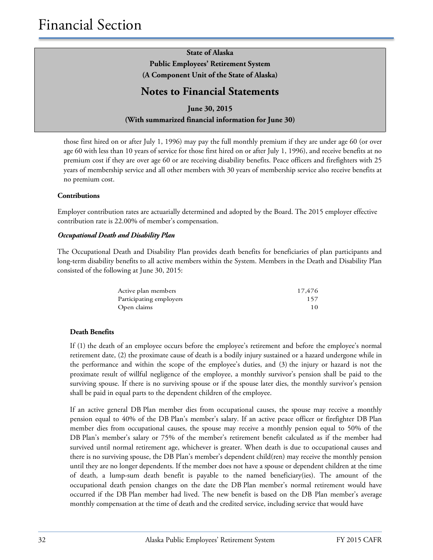### **Notes to Financial Statements**

**June 30, 2015 (With summarized financial information for June 30)**

those first hired on or after July 1, 1996) may pay the full monthly premium if they are under age 60 (or over age 60 with less than 10 years of service for those first hired on or after July 1, 1996), and receive benefits at no premium cost if they are over age 60 or are receiving disability benefits. Peace officers and firefighters with 25 years of membership service and all other members with 30 years of membership service also receive benefits at no premium cost.

#### **Contributions**

Employer contribution rates are actuarially determined and adopted by the Board. The 2015 employer effective contribution rate is 22.00% of member's compensation.

### *Occupational Death and Disability Plan*

The Occupational Death and Disability Plan provides death benefits for beneficiaries of plan participants and long-term disability benefits to all active members within the System. Members in the Death and Disability Plan consisted of the following at June 30, 2015:

| Active plan members     | 17,476 |
|-------------------------|--------|
| Participating employers | 157    |
| Open claims             | 10.    |

### **Death Benefits**

If (1) the death of an employee occurs before the employee's retirement and before the employee's normal retirement date, (2) the proximate cause of death is a bodily injury sustained or a hazard undergone while in the performance and within the scope of the employee's duties, and (3) the injury or hazard is not the proximate result of willful negligence of the employee, a monthly survivor's pension shall be paid to the surviving spouse. If there is no surviving spouse or if the spouse later dies, the monthly survivor's pension shall be paid in equal parts to the dependent children of the employee.

If an active general DB Plan member dies from occupational causes, the spouse may receive a monthly pension equal to 40% of the DB Plan's member's salary. If an active peace officer or firefighter DB Plan member dies from occupational causes, the spouse may receive a monthly pension equal to 50% of the DB Plan's member's salary or 75% of the member's retirement benefit calculated as if the member had survived until normal retirement age, whichever is greater. When death is due to occupational causes and there is no surviving spouse, the DB Plan's member's dependent child(ren) may receive the monthly pension until they are no longer dependents. If the member does not have a spouse or dependent children at the time of death, a lump-sum death benefit is payable to the named beneficiary(ies). The amount of the occupational death pension changes on the date the DB Plan member's normal retirement would have occurred if the DB Plan member had lived. The new benefit is based on the DB Plan member's average monthly compensation at the time of death and the credited service, including service that would have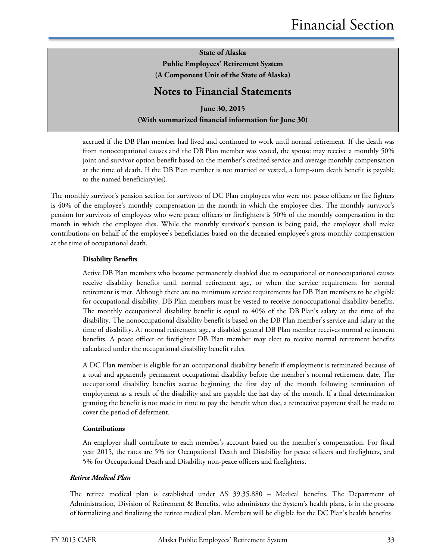### **Notes to Financial Statements**

**June 30, 2015 (With summarized financial information for June 30)**

accrued if the DB Plan member had lived and continued to work until normal retirement. If the death was from nonoccupational causes and the DB Plan member was vested, the spouse may receive a monthly 50% joint and survivor option benefit based on the member's credited service and average monthly compensation at the time of death. If the DB Plan member is not married or vested, a lump-sum death benefit is payable to the named beneficiary(ies).

The monthly survivor's pension section for survivors of DC Plan employees who were not peace officers or fire fighters is 40% of the employee's monthly compensation in the month in which the employee dies. The monthly survivor's pension for survivors of employees who were peace officers or firefighters is 50% of the monthly compensation in the month in which the employee dies. While the monthly survivor's pension is being paid, the employer shall make contributions on behalf of the employee's beneficiaries based on the deceased employee's gross monthly compensation at the time of occupational death.

### **Disability Benefits**

Active DB Plan members who become permanently disabled due to occupational or nonoccupational causes receive disability benefits until normal retirement age, or when the service requirement for normal retirement is met. Although there are no minimum service requirements for DB Plan members to be eligible for occupational disability, DB Plan members must be vested to receive nonoccupational disability benefits. The monthly occupational disability benefit is equal to 40% of the DB Plan's salary at the time of the disability. The nonoccupational disability benefit is based on the DB Plan member's service and salary at the time of disability. At normal retirement age, a disabled general DB Plan member receives normal retirement benefits. A peace officer or firefighter DB Plan member may elect to receive normal retirement benefits calculated under the occupational disability benefit rules.

A DC Plan member is eligible for an occupational disability benefit if employment is terminated because of a total and apparently permanent occupational disability before the member's normal retirement date. The occupational disability benefits accrue beginning the first day of the month following termination of employment as a result of the disability and are payable the last day of the month. If a final determination granting the benefit is not made in time to pay the benefit when due, a retroactive payment shall be made to cover the period of deferment.

### **Contributions**

An employer shall contribute to each member's account based on the member's compensation. For fiscal year 2015, the rates are 5% for Occupational Death and Disability for peace officers and firefighters, and 5% for Occupational Death and Disability non-peace officers and firefighters.

### *Retiree Medical Plan*

The retiree medical plan is established under AS 39.35.880 – Medical benefits. The Department of Administration, Division of Retirement & Benefits, who administers the System's health plans, is in the process of formalizing and finalizing the retiree medical plan. Members will be eligible for the DC Plan's health benefits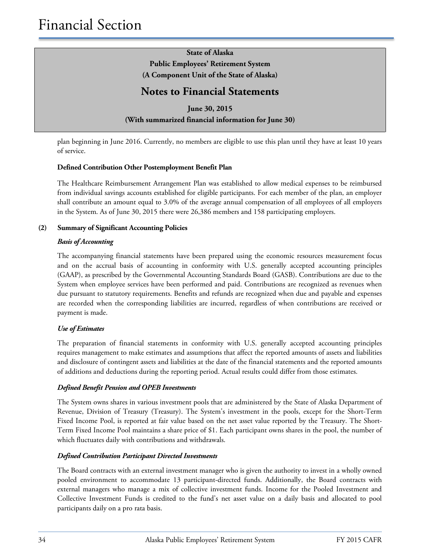### **Notes to Financial Statements**

**June 30, 2015 (With summarized financial information for June 30)**

plan beginning in June 2016. Currently, no members are eligible to use this plan until they have at least 10 years of service.

### **Defined Contribution Other Postemployment Benefit Plan**

The Healthcare Reimbursement Arrangement Plan was established to allow medical expenses to be reimbursed from individual savings accounts established for eligible participants. For each member of the plan, an employer shall contribute an amount equal to 3.0% of the average annual compensation of all employees of all employers in the System. As of June 30, 2015 there were 26,386 members and 158 participating employers.

#### **(2) Summary of Significant Accounting Policies**

### *Basis of Accounting*

The accompanying financial statements have been prepared using the economic resources measurement focus and on the accrual basis of accounting in conformity with U.S. generally accepted accounting principles (GAAP), as prescribed by the Governmental Accounting Standards Board (GASB). Contributions are due to the System when employee services have been performed and paid. Contributions are recognized as revenues when due pursuant to statutory requirements. Benefits and refunds are recognized when due and payable and expenses are recorded when the corresponding liabilities are incurred, regardless of when contributions are received or payment is made.

#### *Use of Estimates*

The preparation of financial statements in conformity with U.S. generally accepted accounting principles requires management to make estimates and assumptions that affect the reported amounts of assets and liabilities and disclosure of contingent assets and liabilities at the date of the financial statements and the reported amounts of additions and deductions during the reporting period. Actual results could differ from those estimates.

#### *Defined Benefit Pension and OPEB Investments*

The System owns shares in various investment pools that are administered by the State of Alaska Department of Revenue, Division of Treasury (Treasury). The System's investment in the pools, except for the Short-Term Fixed Income Pool, is reported at fair value based on the net asset value reported by the Treasury. The Short-Term Fixed Income Pool maintains a share price of \$1. Each participant owns shares in the pool, the number of which fluctuates daily with contributions and withdrawals.

#### *Defined Contribution Participant Directed Investments*

The Board contracts with an external investment manager who is given the authority to invest in a wholly owned pooled environment to accommodate 13 participant-directed funds. Additionally, the Board contracts with external managers who manage a mix of collective investment funds. Income for the Pooled Investment and Collective Investment Funds is credited to the fund's net asset value on a daily basis and allocated to pool participants daily on a pro rata basis.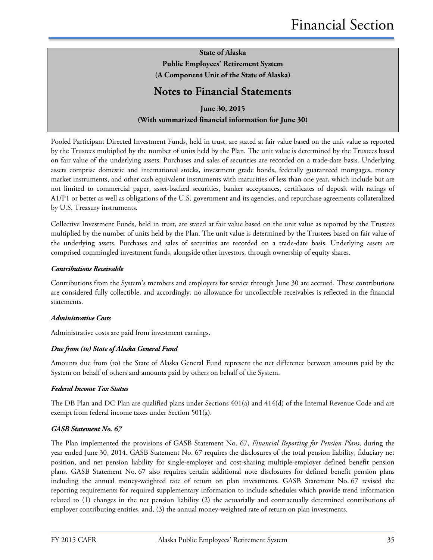### **Notes to Financial Statements**

**June 30, 2015 (With summarized financial information for June 30)**

Pooled Participant Directed Investment Funds, held in trust, are stated at fair value based on the unit value as reported by the Trustees multiplied by the number of units held by the Plan. The unit value is determined by the Trustees based on fair value of the underlying assets. Purchases and sales of securities are recorded on a trade-date basis. Underlying assets comprise domestic and international stocks, investment grade bonds, federally guaranteed mortgages, money market instruments, and other cash equivalent instruments with maturities of less than one year, which include but are not limited to commercial paper, asset-backed securities, banker acceptances, certificates of deposit with ratings of A1/P1 or better as well as obligations of the U.S. government and its agencies, and repurchase agreements collateralized by U.S. Treasury instruments.

Collective Investment Funds, held in trust, are stated at fair value based on the unit value as reported by the Trustees multiplied by the number of units held by the Plan. The unit value is determined by the Trustees based on fair value of the underlying assets. Purchases and sales of securities are recorded on a trade-date basis. Underlying assets are comprised commingled investment funds, alongside other investors, through ownership of equity shares.

### *Contributions Receivable*

Contributions from the System's members and employers for service through June 30 are accrued. These contributions are considered fully collectible, and accordingly, no allowance for uncollectible receivables is reflected in the financial statements.

### *Administrative Costs*

Administrative costs are paid from investment earnings.

### *Due from (to) State of Alaska General Fund*

Amounts due from (to) the State of Alaska General Fund represent the net difference between amounts paid by the System on behalf of others and amounts paid by others on behalf of the System.

### *Federal Income Tax Status*

The DB Plan and DC Plan are qualified plans under Sections 401(a) and 414(d) of the Internal Revenue Code and are exempt from federal income taxes under Section 501(a).

### *GASB Statement No. 67*

The Plan implemented the provisions of GASB Statement No. 67, *Financial Reporting for Pension Plans*, during the year ended June 30, 2014. GASB Statement No. 67 requires the disclosures of the total pension liability, fiduciary net position, and net pension liability for single-employer and cost-sharing multiple-employer defined benefit pension plans. GASB Statement No. 67 also requires certain additional note disclosures for defined benefit pension plans including the annual money-weighted rate of return on plan investments. GASB Statement No. 67 revised the reporting requirements for required supplementary information to include schedules which provide trend information related to (1) changes in the net pension liability (2) the actuarially and contractually determined contributions of employer contributing entities, and, (3) the annual money-weighted rate of return on plan investments.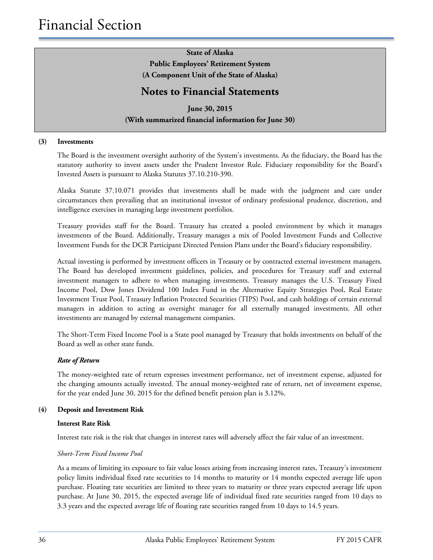### **Notes to Financial Statements**

**June 30, 2015 (With summarized financial information for June 30)**

#### **(3) Investments**

The Board is the investment oversight authority of the System's investments. As the fiduciary, the Board has the statutory authority to invest assets under the Prudent Investor Rule. Fiduciary responsibility for the Board's Invested Assets is pursuant to Alaska Statutes 37.10.210-390.

Alaska Statute 37.10.071 provides that investments shall be made with the judgment and care under circumstances then prevailing that an institutional investor of ordinary professional prudence, discretion, and intelligence exercises in managing large investment portfolios.

Treasury provides staff for the Board. Treasury has created a pooled environment by which it manages investments of the Board. Additionally, Treasury manages a mix of Pooled Investment Funds and Collective Investment Funds for the DCR Participant Directed Pension Plans under the Board's fiduciary responsibility.

Actual investing is performed by investment officers in Treasury or by contracted external investment managers. The Board has developed investment guidelines, policies, and procedures for Treasury staff and external investment managers to adhere to when managing investments. Treasury manages the U.S. Treasury Fixed Income Pool, Dow Jones Dividend 100 Index Fund in the Alternative Equity Strategies Pool, Real Estate Investment Trust Pool, Treasury Inflation Protected Securities (TIPS) Pool, and cash holdings of certain external managers in addition to acting as oversight manager for all externally managed investments. All other investments are managed by external management companies.

The Short-Term Fixed Income Pool is a State pool managed by Treasury that holds investments on behalf of the Board as well as other state funds.

#### *Rate of Return*

The money-weighted rate of return expresses investment performance, net of investment expense, adjusted for the changing amounts actually invested. The annual money-weighted rate of return, net of investment expense, for the year ended June 30, 2015 for the defined benefit pension plan is 3.12%.

#### **(4) Deposit and Investment Risk**

#### **Interest Rate Risk**

Interest rate risk is the risk that changes in interest rates will adversely affect the fair value of an investment.

#### *Short-Term Fixed Income Pool*

As a means of limiting its exposure to fair value losses arising from increasing interest rates, Treasury's investment policy limits individual fixed rate securities to 14 months to maturity or 14 months expected average life upon purchase. Floating rate securities are limited to three years to maturity or three years expected average life upon purchase. At June 30, 2015, the expected average life of individual fixed rate securities ranged from 10 days to 3.3 years and the expected average life of floating rate securities ranged from 10 days to 14.5 years.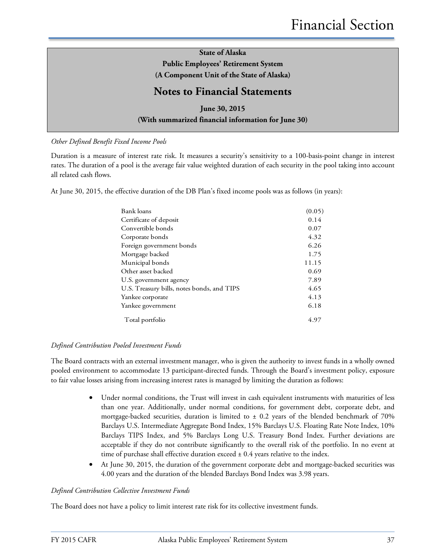### **Notes to Financial Statements**

**June 30, 2015 (With summarized financial information for June 30)**

*Other Defined Benefit Fixed Income Pools*

Duration is a measure of interest rate risk. It measures a security's sensitivity to a 100-basis-point change in interest rates. The duration of a pool is the average fair value weighted duration of each security in the pool taking into account all related cash flows.

At June 30, 2015, the effective duration of the DB Plan's fixed income pools was as follows (in years):

| Bank loans                                 | (0.05) |
|--------------------------------------------|--------|
| Certificate of deposit                     | 0.14   |
| Convertible bonds                          | 0.07   |
| Corporate bonds                            | 4.32   |
| Foreign government bonds                   | 6.26   |
| Mortgage backed                            | 1.75   |
| Municipal bonds                            | 11.15  |
| Other asset backed                         | 0.69   |
| U.S. government agency                     | 7.89   |
| U.S. Treasury bills, notes bonds, and TIPS | 4.65   |
| Yankee corporate                           | 4.13   |
| Yankee government                          | 6.18   |
| Total portfolio                            | 4.97   |

#### *Defined Contribution Pooled Investment Funds*

The Board contracts with an external investment manager, who is given the authority to invest funds in a wholly owned pooled environment to accommodate 13 participant-directed funds. Through the Board's investment policy, exposure to fair value losses arising from increasing interest rates is managed by limiting the duration as follows:

- Under normal conditions, the Trust will invest in cash equivalent instruments with maturities of less than one year. Additionally, under normal conditions, for government debt, corporate debt, and mortgage-backed securities, duration is limited to  $\pm$  0.2 years of the blended benchmark of 70% Barclays U.S. Intermediate Aggregate Bond Index, 15% Barclays U.S. Floating Rate Note Index, 10% Barclays TIPS Index, and 5% Barclays Long U.S. Treasury Bond Index. Further deviations are acceptable if they do not contribute significantly to the overall risk of the portfolio. In no event at time of purchase shall effective duration exceed  $\pm$  0.4 years relative to the index.
- At June 30, 2015, the duration of the government corporate debt and mortgage-backed securities was 4.00 years and the duration of the blended Barclays Bond Index was 3.98 years.

#### *Defined Contribution Collective Investment Funds*

The Board does not have a policy to limit interest rate risk for its collective investment funds.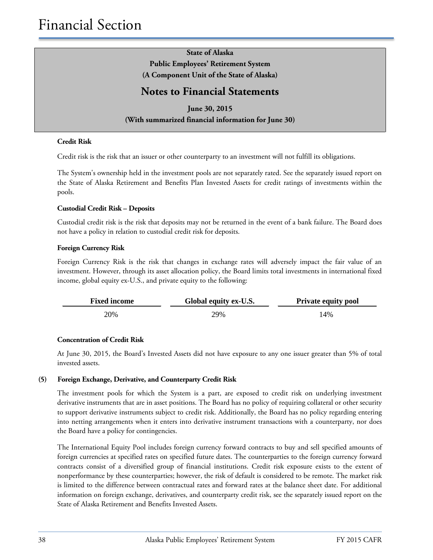### **Notes to Financial Statements**

**June 30, 2015 (With summarized financial information for June 30)**

### **Credit Risk**

Credit risk is the risk that an issuer or other counterparty to an investment will not fulfill its obligations.

The System's ownership held in the investment pools are not separately rated. See the separately issued report on the State of Alaska Retirement and Benefits Plan Invested Assets for credit ratings of investments within the pools.

### **Custodial Credit Risk – Deposits**

Custodial credit risk is the risk that deposits may not be returned in the event of a bank failure. The Board does not have a policy in relation to custodial credit risk for deposits.

#### **Foreign Currency Risk**

Foreign Currency Risk is the risk that changes in exchange rates will adversely impact the fair value of an investment. However, through its asset allocation policy, the Board limits total investments in international fixed income, global equity ex-U.S., and private equity to the following:

| <b>Fixed income</b><br>Global equity ex-U.S. |     | <b>Private equity pool</b> |  |  |
|----------------------------------------------|-----|----------------------------|--|--|
| 20%                                          | 29% | 14%                        |  |  |

#### **Concentration of Credit Risk**

At June 30, 2015, the Board's Invested Assets did not have exposure to any one issuer greater than 5% of total invested assets.

#### **(5) Foreign Exchange, Derivative, and Counterparty Credit Risk**

The investment pools for which the System is a part, are exposed to credit risk on underlying investment derivative instruments that are in asset positions. The Board has no policy of requiring collateral or other security to support derivative instruments subject to credit risk. Additionally, the Board has no policy regarding entering into netting arrangements when it enters into derivative instrument transactions with a counterparty, nor does the Board have a policy for contingencies.

The International Equity Pool includes foreign currency forward contracts to buy and sell specified amounts of foreign currencies at specified rates on specified future dates. The counterparties to the foreign currency forward contracts consist of a diversified group of financial institutions. Credit risk exposure exists to the extent of nonperformance by these counterparties; however, the risk of default is considered to be remote. The market risk is limited to the difference between contractual rates and forward rates at the balance sheet date. For additional information on foreign exchange, derivatives, and counterparty credit risk, see the separately issued report on the State of Alaska Retirement and Benefits Invested Assets.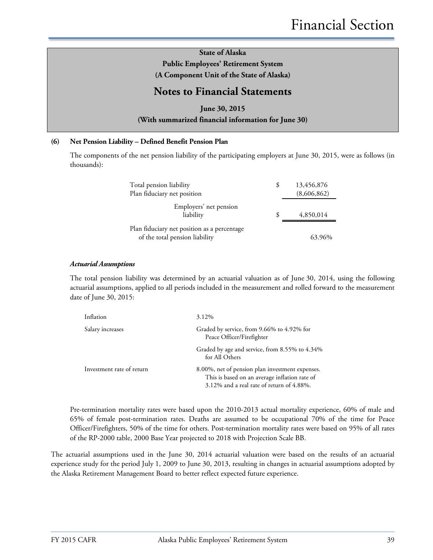| <b>State of Alaska</b> |  |
|------------------------|--|
|                        |  |

**Public Employees' Retirement System**

**(A Component Unit of the State of Alaska)**

### **Notes to Financial Statements**

**June 30, 2015**

**(With summarized financial information for June 30)**

#### **(6) Net Pension Liability – Defined Benefit Pension Plan**

The components of the net pension liability of the participating employers at June 30, 2015, were as follows (in thousands):

| Total pension liability<br>Plan fiduciary net position                        | S | 13,456,876<br>(8,606,862) |
|-------------------------------------------------------------------------------|---|---------------------------|
| Employers' net pension<br>liability                                           | S | 4,850,014                 |
| Plan fiduciary net position as a percentage<br>of the total pension liability |   | 63.96%                    |

#### *Actuarial Assumptions*

The total pension liability was determined by an actuarial valuation as of June 30, 2014, using the following actuarial assumptions, applied to all periods included in the measurement and rolled forward to the measurement date of June 30, 2015:

| Inflation                 | 3.12%                                                                                                                                         |
|---------------------------|-----------------------------------------------------------------------------------------------------------------------------------------------|
| Salary increases          | Graded by service, from 9.66% to 4.92% for<br>Peace Officer/Firefighter                                                                       |
|                           | Graded by age and service, from 8.55% to 4.34%<br>for All Others                                                                              |
| Investment rate of return | 8.00%, net of pension plan investment expenses.<br>This is based on an average inflation rate of<br>3.12% and a real rate of return of 4.88%. |

Pre-termination mortality rates were based upon the 2010-2013 actual mortality experience, 60% of male and 65% of female post-termination rates. Deaths are assumed to be occupational 70% of the time for Peace Officer/Firefighters, 50% of the time for others. Post-termination mortality rates were based on 95% of all rates of the RP-2000 table, 2000 Base Year projected to 2018 with Projection Scale BB.

The actuarial assumptions used in the June 30, 2014 actuarial valuation were based on the results of an actuarial experience study for the period July 1, 2009 to June 30, 2013, resulting in changes in actuarial assumptions adopted by the Alaska Retirement Management Board to better reflect expected future experience.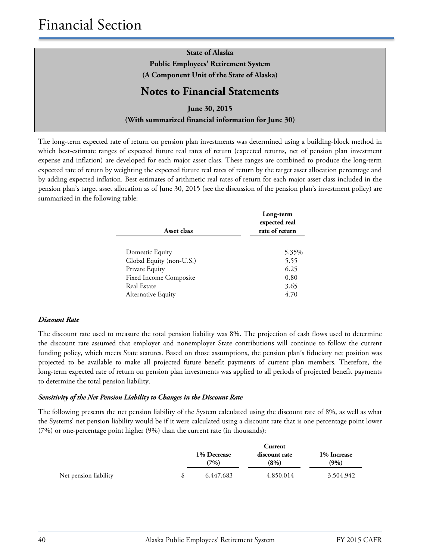### **Notes to Financial Statements**

**June 30, 2015 (With summarized financial information for June 30)**

The long-term expected rate of return on pension plan investments was determined using a building-block method in which best-estimate ranges of expected future real rates of return (expected returns, net of pension plan investment expense and inflation) are developed for each major asset class. These ranges are combined to produce the long-term expected rate of return by weighting the expected future real rates of return by the target asset allocation percentage and by adding expected inflation. Best estimates of arithmetic real rates of return for each major asset class included in the pension plan's target asset allocation as of June 30, 2015 (see the discussion of the pension plan's investment policy) are summarized in the following table:

| Asset class                   | Long-term<br>expected real<br>rate of return |
|-------------------------------|----------------------------------------------|
|                               |                                              |
| Domestic Equity               | 5.35%                                        |
| Global Equity (non-U.S.)      | 5.55                                         |
| Private Equity                | 6.25                                         |
| <b>Fixed Income Composite</b> | 0.80                                         |
| Real Estate                   | 3.65                                         |
| Alternative Equity            | 4.70                                         |
|                               |                                              |

#### *Discount Rate*

The discount rate used to measure the total pension liability was 8%. The projection of cash flows used to determine the discount rate assumed that employer and nonemployer State contributions will continue to follow the current funding policy, which meets State statutes. Based on those assumptions, the pension plan's fiduciary net position was projected to be available to make all projected future benefit payments of current plan members. Therefore, the long-term expected rate of return on pension plan investments was applied to all periods of projected benefit payments to determine the total pension liability.

#### *Sensitivity of the Net Pension Liability to Changes in the Discount Rate*

The following presents the net pension liability of the System calculated using the discount rate of 8%, as well as what the Systems' net pension liability would be if it were calculated using a discount rate that is one percentage point lower (7%) or one-percentage point higher (9%) than the current rate (in thousands):

|                       | Current             |                       |                     |  |
|-----------------------|---------------------|-----------------------|---------------------|--|
|                       | 1% Decrease<br>(7%) | discount rate<br>(8%) | 1% Increase<br>(9%) |  |
| Net pension liability | 6.447.683           | 4,850,014             | 3,504,942           |  |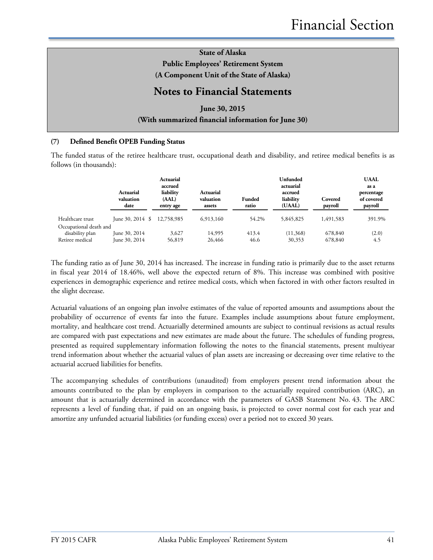### **Notes to Financial Statements**

**June 30, 2015**

#### **(With summarized financial information for June 30)**

#### **(7) Defined Benefit OPEB Funding Status**

The funded status of the retiree healthcare trust, occupational death and disability, and retiree medical benefits is as follows (in thousands):

|                        | Actuarial<br>valuation<br>date | Actuarial<br>accrued<br>liability<br>(AAL)<br>entry age | Actuarial<br>valuation<br>assets | Funded<br>ratio | <b>Unfunded</b><br>actuarial<br>accrued<br>liability<br>(UAAL) | Covered<br>payroll | <b>UAAL</b><br>as a<br>percentage<br>of covered<br>payroll |
|------------------------|--------------------------------|---------------------------------------------------------|----------------------------------|-----------------|----------------------------------------------------------------|--------------------|------------------------------------------------------------|
| Healthcare trust       | June 30, $2014 \text{ }$ \$    | 12,758,985                                              | 6,913,160                        | 54.2%           | 5,845,825                                                      | 1,491,583          | 391.9%                                                     |
| Occupational death and |                                |                                                         |                                  |                 |                                                                |                    |                                                            |
| disability plan        | June 30, 2014                  | 3.627                                                   | 14,995                           | 413.4           | (11,368)                                                       | 678,840            | (2.0)                                                      |
| Retiree medical        | June 30, 2014                  | 56,819                                                  | 26,466                           | 46.6            | 30,353                                                         | 678,840            | 4.5                                                        |

The funding ratio as of June 30, 2014 has increased. The increase in funding ratio is primarily due to the asset returns in fiscal year 2014 of 18.46%, well above the expected return of 8%. This increase was combined with positive experiences in demographic experience and retiree medical costs, which when factored in with other factors resulted in the slight decrease.

Actuarial valuations of an ongoing plan involve estimates of the value of reported amounts and assumptions about the probability of occurrence of events far into the future. Examples include assumptions about future employment, mortality, and healthcare cost trend. Actuarially determined amounts are subject to continual revisions as actual results are compared with past expectations and new estimates are made about the future. The schedules of funding progress, presented as required supplementary information following the notes to the financial statements, present multiyear trend information about whether the actuarial values of plan assets are increasing or decreasing over time relative to the actuarial accrued liabilities for benefits.

The accompanying schedules of contributions (unaudited) from employers present trend information about the amounts contributed to the plan by employers in comparison to the actuarially required contribution (ARC), an amount that is actuarially determined in accordance with the parameters of GASB Statement No. 43. The ARC represents a level of funding that, if paid on an ongoing basis, is projected to cover normal cost for each year and amortize any unfunded actuarial liabilities (or funding excess) over a period not to exceed 30 years.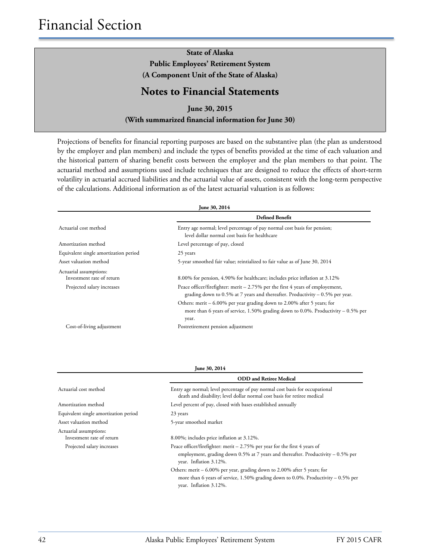### **Notes to Financial Statements**

**June 30, 2015 (With summarized financial information for June 30)**

Projections of benefits for financial reporting purposes are based on the substantive plan (the plan as understood by the employer and plan members) and include the types of benefits provided at the time of each valuation and the historical pattern of sharing benefit costs between the employer and the plan members to that point. The actuarial method and assumptions used include techniques that are designed to reduce the effects of short-term volatility in actuarial accrued liabilities and the actuarial value of assets, consistent with the long-term perspective of the calculations. Additional information as of the latest actuarial valuation is as follows:

|                                                     | June 30, 2014                                                                                                                                                                |
|-----------------------------------------------------|------------------------------------------------------------------------------------------------------------------------------------------------------------------------------|
|                                                     | <b>Defined Benefit</b>                                                                                                                                                       |
| Actuarial cost method                               | Entry age normal; level percentage of pay normal cost basis for pension;<br>level dollar normal cost basis for healthcare                                                    |
| Amortization method                                 | Level percentage of pay, closed                                                                                                                                              |
| Equivalent single amortization period               | 25 years                                                                                                                                                                     |
| Asset valuation method                              | 5-year smoothed fair value; reintialized to fair value as of June 30, 2014                                                                                                   |
| Actuarial assumptions:<br>Investment rate of return | 8.00% for pension, 4.90% for healthcare; includes price inflation at 3.12%                                                                                                   |
| Projected salary increases                          | Peace officer/firefighter: merit - 2.75% per the first 4 years of employement,<br>grading down to $0.5\%$ at 7 years and thereafter. Productivity $-0.5\%$ per year.         |
|                                                     | Others: merit $-6.00\%$ per year grading down to 2.00% after 5 years; for<br>more than 6 years of service, $1.50\%$ grading down to 0.0%. Productivity $-0.5\%$ per<br>year. |
| Cost-of-living adjustment                           | Postretirement pension adjustment                                                                                                                                            |

**June 30, 2014**

|                                                     | <b>ODD</b> and Retiree Medical                                                                                                                                                                 |
|-----------------------------------------------------|------------------------------------------------------------------------------------------------------------------------------------------------------------------------------------------------|
| Actuarial cost method                               | Entry age normal; level percentage of pay normal cost basis for occupational<br>death and disability; level dollar normal cost basis for retiree medical                                       |
| Amortization method                                 | Level percent of pay, closed with bases established annually                                                                                                                                   |
| Equivalent single amortization period               | 23 years                                                                                                                                                                                       |
| Asset valuation method                              | 5-year smoothed market                                                                                                                                                                         |
| Actuarial assumptions:<br>Investment rate of return | 8.00%; includes price inflation at 3.12%.                                                                                                                                                      |
| Projected salary increases                          | Peace officer/firefighter: merit $-2.75%$ per year for the first 4 years of<br>employment, grading down $0.5\%$ at 7 years and thereafter. Productivity $-0.5\%$ per<br>year. Inflation 3.12%. |
|                                                     | Others: merit $-6.00\%$ per year, grading down to 2.00% after 5 years; for<br>more than 6 years of service, $1.50\%$ grading down to 0.0%. Productivity $-0.5\%$ per<br>year. Inflation 3.12%. |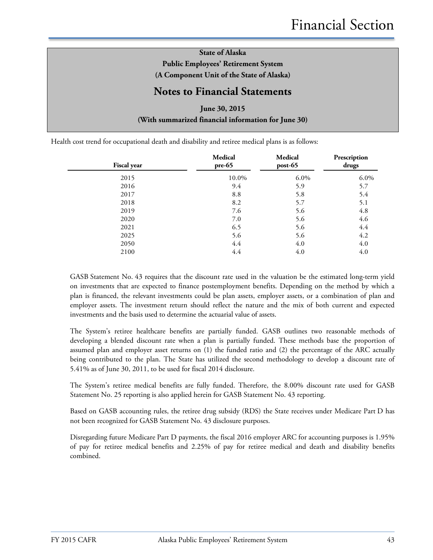| <b>State of Alaska</b>                     |
|--------------------------------------------|
| <b>Public Employees' Retirement System</b> |
| (A Component Unit of the State of Alaska)  |

### **Notes to Financial Statements**

**June 30, 2015 (With summarized financial information for June 30)**

Health cost trend for occupational death and disability and retiree medical plans is as follows: **Medical Medical Prescription**

| Medical<br>$pre-65$ | Medical<br>post-65 | <b>Prescription</b><br>drugs |
|---------------------|--------------------|------------------------------|
| 10.0%               | 6.0%               | $6.0\%$                      |
| 9.4                 | 5.9                | 5.7                          |
| 8.8                 | 5.8                | 5.4                          |
| 8.2                 | 5.7                | 5.1                          |
| 7.6                 | 5.6                | 4.8                          |
| 7.0                 | 5.6                | 4.6                          |
| 6.5                 | 5.6                | 4.4                          |
| 5.6                 | 5.6                | 4.2                          |
| 4.4                 | 4.0                | 4.0                          |
| 4.4                 | 4.0                | 4.0                          |
|                     |                    |                              |

GASB Statement No. 43 requires that the discount rate used in the valuation be the estimated long-term yield on investments that are expected to finance postemployment benefits. Depending on the method by which a plan is financed, the relevant investments could be plan assets, employer assets, or a combination of plan and employer assets. The investment return should reflect the nature and the mix of both current and expected investments and the basis used to determine the actuarial value of assets.

The System's retiree healthcare benefits are partially funded. GASB outlines two reasonable methods of developing a blended discount rate when a plan is partially funded. These methods base the proportion of assumed plan and employer asset returns on (1) the funded ratio and (2) the percentage of the ARC actually being contributed to the plan. The State has utilized the second methodology to develop a discount rate of 5.41% as of June 30, 2011, to be used for fiscal 2014 disclosure.

The System's retiree medical benefits are fully funded. Therefore, the 8.00% discount rate used for GASB Statement No. 25 reporting is also applied herein for GASB Statement No. 43 reporting.

Based on GASB accounting rules, the retiree drug subsidy (RDS) the State receives under Medicare Part D has not been recognized for GASB Statement No. 43 disclosure purposes.

Disregarding future Medicare Part D payments, the fiscal 2016 employer ARC for accounting purposes is 1.95% of pay for retiree medical benefits and 2.25% of pay for retiree medical and death and disability benefits combined.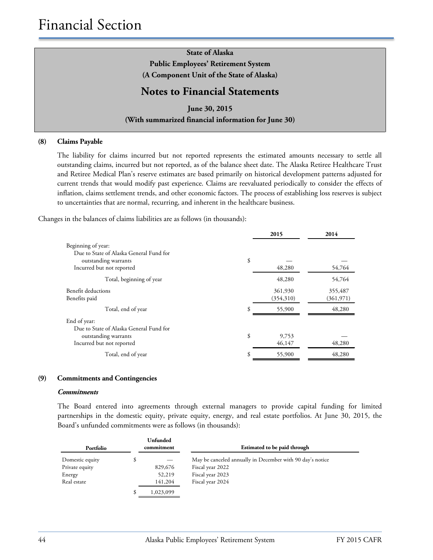### **Notes to Financial Statements**

**June 30, 2015 (With summarized financial information for June 30)**

#### **(8) Claims Payable**

The liability for claims incurred but not reported represents the estimated amounts necessary to settle all outstanding claims, incurred but not reported, as of the balance sheet date. The Alaska Retiree Healthcare Trust and Retiree Medical Plan's reserve estimates are based primarily on historical development patterns adjusted for current trends that would modify past experience. Claims are reevaluated periodically to consider the effects of inflation, claims settlement trends, and other economic factors. The process of establishing loss reserves is subject to uncertainties that are normal, recurring, and inherent in the healthcare business.

Changes in the balances of claims liabilities are as follows (in thousands):

|                                         | 2015        | 2014       |
|-----------------------------------------|-------------|------------|
| Beginning of year:                      |             |            |
| Due to State of Alaska General Fund for |             |            |
| outstanding warrants                    | \$          |            |
| Incurred but not reported               | 48,280      | 54,764     |
| Total, beginning of year                | 48,280      | 54,764     |
| Benefit deductions                      | 361,930     | 355,487    |
| Benefits paid                           | (354,310)   | (361, 971) |
| Total, end of year                      | 55,900      | 48,280     |
| End of year:                            |             |            |
| Due to State of Alaska General Fund for |             |            |
| outstanding warrants                    | \$<br>9,753 |            |
| Incurred but not reported               | 46,147      | 48,280     |
| Total, end of year                      | 55,900      | 48,280     |

#### **(9) Commitments and Contingencies**

#### *Commitments*

The Board entered into agreements through external managers to provide capital funding for limited partnerships in the domestic equity, private equity, energy, and real estate portfolios. At June 30, 2015, the Board's unfunded commitments were as follows (in thousands):

| Portfolio       | Unfunded<br>commitment | Estimated to be paid through                              |
|-----------------|------------------------|-----------------------------------------------------------|
| Domestic equity | \$                     | May be canceled annually in December with 90 day's notice |
| Private equity  | 829,676                | Fiscal year 2022                                          |
| Energy          | 52,219                 | Fiscal year 2023                                          |
| Real estate     | 141,204                | Fiscal year 2024                                          |
|                 | \$<br>1,023,099        |                                                           |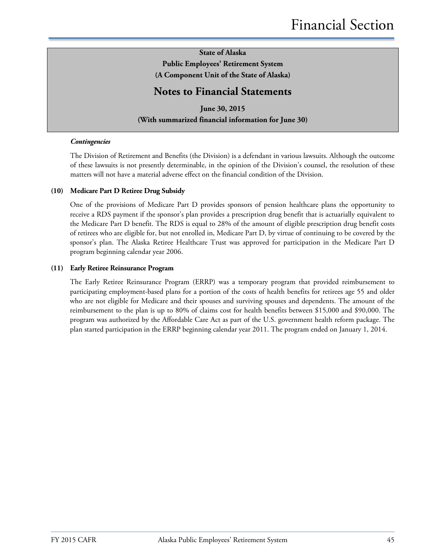### **Notes to Financial Statements**

**June 30, 2015 (With summarized financial information for June 30)**

#### *Contingencies*

The Division of Retirement and Benefits (the Division) is a defendant in various lawsuits. Although the outcome of these lawsuits is not presently determinable, in the opinion of the Division's counsel, the resolution of these matters will not have a material adverse effect on the financial condition of the Division.

### **(10) Medicare Part D Retiree Drug Subsidy**

One of the provisions of Medicare Part D provides sponsors of pension healthcare plans the opportunity to receive a RDS payment if the sponsor's plan provides a prescription drug benefit that is actuarially equivalent to the Medicare Part D benefit. The RDS is equal to 28% of the amount of eligible prescription drug benefit costs of retirees who are eligible for, but not enrolled in, Medicare Part D, by virtue of continuing to be covered by the sponsor's plan. The Alaska Retiree Healthcare Trust was approved for participation in the Medicare Part D program beginning calendar year 2006.

### **(11) Early Retiree Reinsurance Program**

The Early Retiree Reinsurance Program (ERRP) was a temporary program that provided reimbursement to participating employment-based plans for a portion of the costs of health benefits for retirees age 55 and older who are not eligible for Medicare and their spouses and surviving spouses and dependents. The amount of the reimbursement to the plan is up to 80% of claims cost for health benefits between \$15,000 and \$90,000. The program was authorized by the Affordable Care Act as part of the U.S. government health reform package. The plan started participation in the ERRP beginning calendar year 2011. The program ended on January 1, 2014.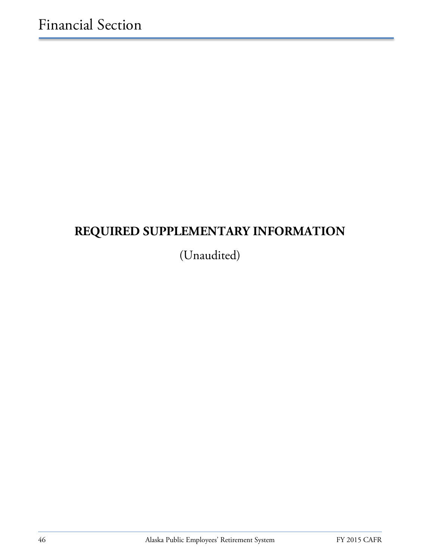# **REQUIRED SUPPLEMENTARY INFORMATION**

(Unaudited)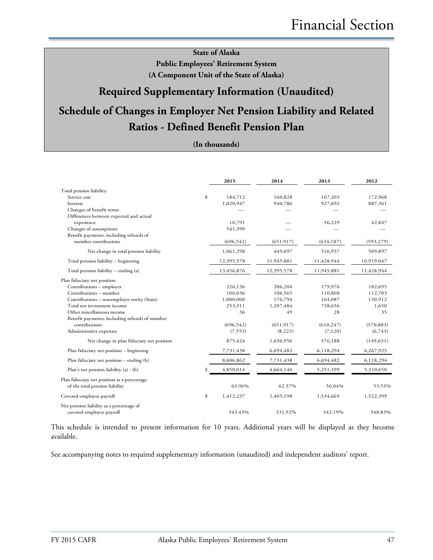### **Required Supplementary Information (Unaudited)**

# **Schedule of Changes in Employer Net Pension Liability and Related Ratios - Defined Benefit Pension Plan**

**(In thousands)**

|                                                                      | 2015            | 2014       | 2013       | 2012       |
|----------------------------------------------------------------------|-----------------|------------|------------|------------|
| Total pension liability:                                             |                 |            |            |            |
| Service cost                                                         | \$<br>184,712   | 160,828    | 167,203    | 172,968    |
| Interest                                                             | 1,020,947       | 940,786    | 927,692    | 887,361    |
| Changes of benefit terms                                             |                 |            |            |            |
| Differences between expected and actual                              |                 |            |            |            |
| experience                                                           | 10,791          |            | 56,229     | 42,847     |
| Changes of assumptions                                               | 541,390         |            |            |            |
| Benefit payments, including refunds of                               |                 |            |            |            |
| member contributions                                                 | (696, 542)      | (651, 917) | (634, 187) | (593, 279) |
| Net change in total pension liability                                | 1,061,298       | 449,697    | 516,937    | 509,897    |
| Total pension liability - beginning                                  | 12,395,578      | 11,945,881 | 11,428,944 | 10,919,047 |
| Total pension liability - ending (a)                                 | 13,456,876      | 12,395,578 | 11,945,881 | 11,428,944 |
| Plan fiduciary net position:                                         |                 |            |            |            |
| Contributions - employer                                             | 226,136         | 206,204    | 179,976    | 182,695    |
| Contributions - member                                               | 100,036         | 106,565    | 110,808    | 112,703    |
| Contributions - nonemployer entity (State)                           | 1,000,000       | 176,794    | 164,087    | 130,912    |
| Total net investment income                                          | 253,311         | 1,207,484  | 738,656    | 1,650      |
| Other miscellaneous income                                           | 36              | 49         | 28         | 35         |
| Benefit payments, including refunds of member                        |                 |            |            |            |
| contributions                                                        | (696, 542)      | (651, 917) | (610, 247) | (570, 883) |
| Administrative expenses                                              | (7, 553)        | (8,223)    | (7, 120)   | (6,743)    |
| Net change in plan fiduciary net position                            | 875,424         | 1,036,956  | 576,188    | (149, 631) |
| Plan fiduciary net position - beginning                              | 7,731,438       | 6,694,482  | 6,118,294  | 6,267,925  |
| Plan fiduciary net position - ending (b)                             | 8,606,862       | 7,731,438  | 6,694,482  | 6,118,294  |
| Plan's net pension liability (a) - (b)                               | \$<br>4,850,014 | 4,664,140  | 5,251,399  | 5,310,650  |
| Plan fiduciary net position as a percentage                          |                 |            |            |            |
| of the total pension liability                                       | 63.96%          | 62.37%     | 56.04%     | 53.53%     |
| Covered-employee payroll                                             | \$<br>1,412,237 | 1,405,198  | 1,534,665  | 1,522,399  |
| Net pension liability as a percentage of<br>covered-employee payroll | 343.43%         | 331.92%    | 342.19%    | 348.83%    |

This schedule is intended to present information for 10 years. Additional years will be displayed as they become available.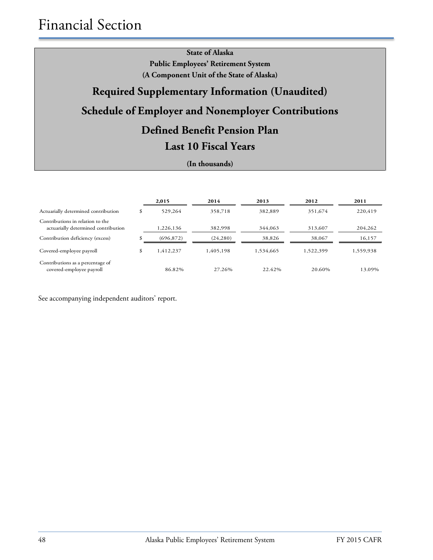# **Required Supplementary Information (Unaudited) Schedule of Employer and Nonemployer Contributions Defined Benefit Pension Plan**

### **Last 10 Fiscal Years**

|  | (In thousands) |  |
|--|----------------|--|
|--|----------------|--|

|                                                                         |    | 2,015      | 2014      | 2013      | 2012      | 2011      |
|-------------------------------------------------------------------------|----|------------|-----------|-----------|-----------|-----------|
| Actuarially determined contribution                                     | Ф  | 529,264    | 358,718   | 382,889   | 351,674   | 220,419   |
| Contributions in relation to the<br>actuarially determined contribution |    | 1,226,136  | 382,998   | 344,063   | 313,607   | 204,262   |
| Contribution deficiency (excess)                                        |    | (696, 872) | (24, 280) | 38,826    | 38,067    | 16,157    |
| Covered-employee payroll                                                | Ъ. | 1.412.237  | 1,405,198 | 1,534,665 | 1,522,399 | 1,559,938 |
| Contributions as a percentage of<br>covered-employee payroll            |    | 86.82%     | 27.26%    | 22.42%    | 20.60%    | 13.09%    |

See accompanying independent auditors' report.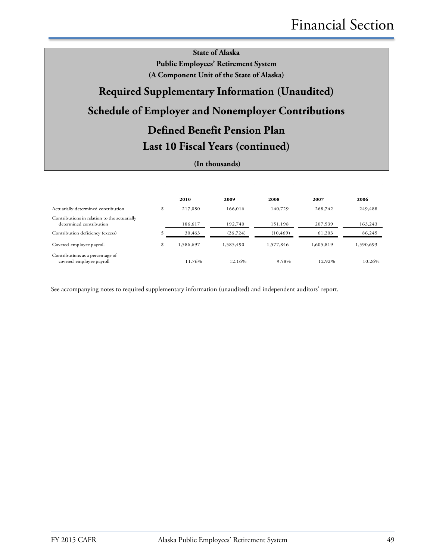# **Required Supplementary Information (Unaudited) Schedule of Employer and Nonemployer Contributions**

# **Defined Benefit Pension Plan Last 10 Fiscal Years (continued)**

| (In thousands) |
|----------------|
|----------------|

|                                                                         | 2010      | 2009      | 2008      | 2007      | 2006      |
|-------------------------------------------------------------------------|-----------|-----------|-----------|-----------|-----------|
| Actuarially determined contribution                                     | 217,080   | 166,016   | 140,729   | 268,742   | 249,488   |
| Contributions in relation to the actuarially<br>determined contribution | 186,617   | 192,740   | 151,198   | 207,539   | 163,243   |
| Contribution deficiency (excess)                                        | 30,463    | (26, 724) | (10, 469) | 61,203    | 86,245    |
| Covered-employee payroll                                                | 1,586,697 | 1,585,490 | 1,577,846 | 1,605,819 | 1,590,693 |
| Contributions as a percentage of<br>covered-employee payroll            | 11.76%    | 12.16%    | 9.58%     | 12.92%    | 10.26%    |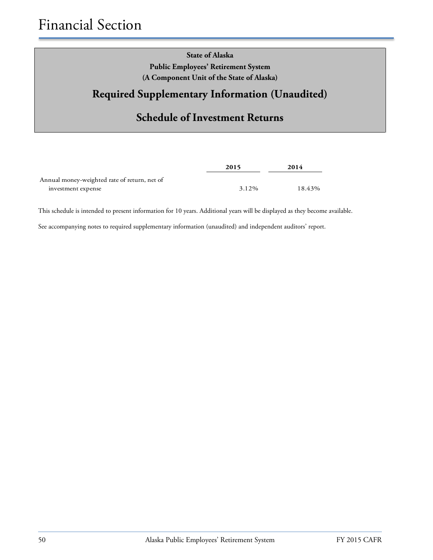# **Required Supplementary Information (Unaudited)**

## **Schedule of Investment Returns**

|                                              | 2015  | 2014   |
|----------------------------------------------|-------|--------|
| Annual money-weighted rate of return, net of |       |        |
| investment expense                           | 3.12% | 18.43% |

This schedule is intended to present information for 10 years. Additional years will be displayed as they become available.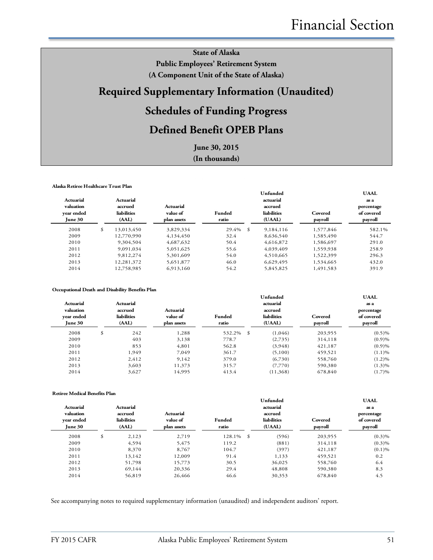**Public Employees' Retirement System**

**(A Component Unit of the State of Alaska)**

### **Required Supplementary Information (Unaudited)**

### **Schedules of Funding Progress**

### **Defined Benefit OPEB Plans**

**June 30, 2015**

**(In thousands)**

**Alaska Retiree Healthcare Trust Plan**

| <b>Actuarial</b><br>valuation<br>vear ended<br>June 30 | <b>Actuarial</b><br>accrued<br>liabilities<br>(AAL) | Actuarial<br>value of<br>plan assets | Funded<br>ratio | Unfunded<br>actuarial<br>accrued<br>liabilities<br>(UAAL) | Covered<br>payroll | <b>UAAL</b><br>as a<br>percentage<br>of covered<br>payroll |
|--------------------------------------------------------|-----------------------------------------------------|--------------------------------------|-----------------|-----------------------------------------------------------|--------------------|------------------------------------------------------------|
| 2008                                                   | \$<br>13,013,450                                    | 3,829,334                            | 29.4%<br>- \$   | 9,184,116                                                 | 1,577,846          | 582.1%                                                     |
| 2009                                                   | 12,770,990                                          | 4,134,450                            | 32.4            | 8,636,540                                                 | 1,585,490          | 544.7                                                      |
| 2010                                                   | 9,304,504                                           | 4,687,632                            | 50.4            | 4,616,872                                                 | 1,586,697          | 291.0                                                      |
| 2011                                                   | 9,091,034                                           | 5.051.625                            | 55.6            | 4,039,409                                                 | 1,559,938          | 258.9                                                      |
| 2012                                                   | 9,812,274                                           | 5,301,609                            | 54.0            | 4,510,665                                                 | 1,522,399          | 296.3                                                      |
| 2013                                                   | 12,281,372                                          | 5.651,877                            | 46.0            | 6.629.495                                                 | 1,534,665          | 432.0                                                      |
| 2014                                                   | 12,758,985                                          | 6,913,160                            | 54.2            | 5,845,825                                                 | 1,491,583          | 391.9                                                      |

#### **Occupational Death and Disability Benefits Plan**

| <b>Actuarial</b><br>valuation<br>vear ended<br>June 30 | <b>Actuarial</b><br>accrued<br>liabilities<br>(AAL) | <b>Actuarial</b><br>value of<br>plan assets | Funded<br>ratio | Unfunded<br>actuarial<br>accrued<br>liabilities<br>(UAAL) | Covered<br>payroll | <b>UAAL</b><br>as a<br>percentage<br>of covered<br>payroll |
|--------------------------------------------------------|-----------------------------------------------------|---------------------------------------------|-----------------|-----------------------------------------------------------|--------------------|------------------------------------------------------------|
| 2008                                                   | \$<br>242                                           | 1,288                                       | 532.2%<br>\$    | (1,046)                                                   | 203,955            | (0.5)%                                                     |
| 2009                                                   | 403                                                 | 3,138                                       | 778.7           | (2,735)                                                   | 314,118            | (0.9)%                                                     |
| 2010                                                   | 853                                                 | 4,801                                       | 562.8           | (3,948)                                                   | 421,187            | (0.9)%                                                     |
| 2011                                                   | 1.949                                               | 7.049                                       | 361.7           | (5,100)                                                   | 459,521            | (1.1)%                                                     |
| 2012                                                   | 2.412                                               | 9.142                                       | 379.0           | (6,730)                                                   | 558,760            | $(1.2)\%$                                                  |
| 2013                                                   | 3,603                                               | 11,373                                      | 315.7           | (7,770)                                                   | 590,380            | $(1.3)\%$                                                  |
| 2014                                                   | 3,627                                               | 14,995                                      | 413.4           | (11,368)                                                  | 678,840            | (1.7)%                                                     |

#### **Retiree Medical Benefits Plan**

| <b>Actuarial</b><br>valuation<br>vear ended<br>June 30 | <b>Actuarial</b><br>accrued<br>liabilities<br>(AAL) | Actuarial<br>value of<br>plan assets | Funded<br>ratio | Unfunded<br>actuarial<br>accrued<br>liabilities<br>(UAAL) | Covered<br>payroll | <b>UAAL</b><br>as a<br>percentage<br>of covered<br>payroll |
|--------------------------------------------------------|-----------------------------------------------------|--------------------------------------|-----------------|-----------------------------------------------------------|--------------------|------------------------------------------------------------|
| 2008                                                   | \$<br>2,123                                         | 2,719                                | 128.1%<br>\$    | (596)                                                     | 203,955            | (0.3)%                                                     |
| 2009                                                   | 4,594                                               | 5,475                                | 119.2           | (881)                                                     | 314,118            | (0.3)%                                                     |
| 2010                                                   | 8,370                                               | 8,767                                | 104.7           | (397)                                                     | 421,187            | (0.1)%                                                     |
| 2011                                                   | 13,142                                              | 12,009                               | 91.4            | 1,133                                                     | 459,521            | 0.2                                                        |
| 2012                                                   | 51,798                                              | 15,773                               | 30.5            | 36,025                                                    | 558,760            | 6.4                                                        |
| 2013                                                   | 69,144                                              | 20,336                               | 29.4            | 48,808                                                    | 590,380            | 8.3                                                        |
| 2014                                                   | 56,819                                              | 26,466                               | 46.6            | 30,353                                                    | 678,840            | 4.5                                                        |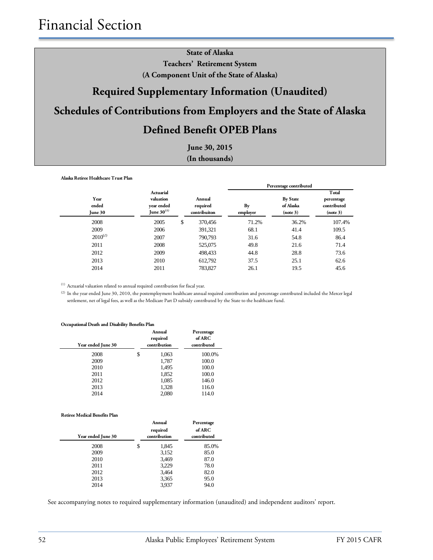**Alaska Retiree Healthcare Trust Plan**

**State of Alaska Teachers' Retirement System (A Component Unit of the State of Alaska)**

# **Required Supplementary Information (Unaudited) Schedules of Contributions from Employers and the State of Alaska Defined Benefit OPEB Plans**

| June 30, 2015  |
|----------------|
| (In thousands) |
|                |

|                          |                                                         |                                    |                | Percentage contributed                   |                                                |
|--------------------------|---------------------------------------------------------|------------------------------------|----------------|------------------------------------------|------------------------------------------------|
| Year<br>ended<br>June 30 | Actuarial<br>valuation<br>vear ended<br>June $30^{(1)}$ | Annual<br>required<br>contribuiton | By<br>employer | <b>By State</b><br>of Alaska<br>(note 3) | Total<br>percentage<br>contributed<br>(note 3) |
| 2008                     | 2005                                                    | \$<br>370,456                      | 71.2%          | 36.2%                                    | 107.4%                                         |
| 2009                     | 2006                                                    | 391,321                            | 68.1           | 41.4                                     | 109.5                                          |
| $2010^{(2)}$             | 2007                                                    | 790,793                            | 31.6           | 54.8                                     | 86.4                                           |
| 2011                     | 2008                                                    | 525,075                            | 49.8           | 21.6                                     | 71.4                                           |
| 2012                     | 2009                                                    | 498,433                            | 44.8           | 28.8                                     | 73.6                                           |
| 2013                     | 2010                                                    | 612,792                            | 37.5           | 25.1                                     | 62.6                                           |
| 2014                     | 2011                                                    | 783,827                            | 26.1           | 19.5                                     | 45.6                                           |

 $(1)$  Actuarial valuation related to annual required contribution for fiscal year.

 $^{(2)}$  In the year ended June 30, 2010, the postemployment healthcare annual required contribution and percentage contributed included the Mercer legal settlement, net of legal fees, as well as the Medicare Part D subsidy contributed by the State to the healthcare fund.

#### **Occupational Death and Disability Benefits Plan**

| Annual<br>required<br>contribution | Percentage<br>of ARC<br>contributed |
|------------------------------------|-------------------------------------|
| \$<br>1,063                        | 100.0%                              |
| 1,787                              | 100.0                               |
| 1,495                              | 100.0                               |
| 1,852                              | 100.0                               |
| 1,085                              | 146.0                               |
| 1,328                              | 116.0                               |
| 2,080                              | 114.0                               |
|                                    |                                     |

#### **Retiree Medical Benefits Plan**

| Annual<br>required<br>contribution | Percentage<br>of ARC<br>contributed |
|------------------------------------|-------------------------------------|
| \$<br>1,845                        | 85.0%                               |
| 3,152                              | 85.0                                |
| 3,469                              | 87.0                                |
| 3.229                              | 78.0                                |
| 3,464                              | 82.0                                |
| 3,365                              | 95.0                                |
| 3.937                              | 94.0                                |
|                                    |                                     |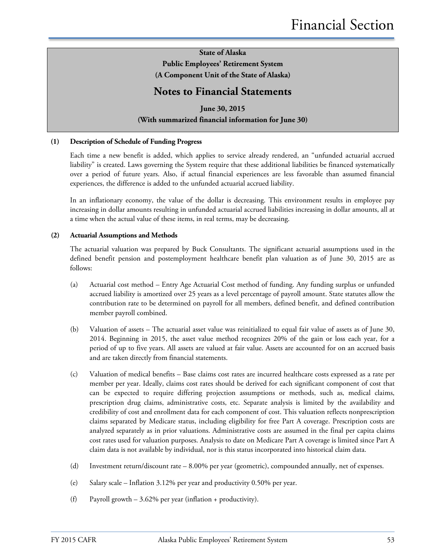### **Notes to Financial Statements**

**June 30, 2015 (With summarized financial information for June 30)**

#### **(1) Description of Schedule of Funding Progress**

Each time a new benefit is added, which applies to service already rendered, an "unfunded actuarial accrued liability" is created. Laws governing the System require that these additional liabilities be financed systematically over a period of future years. Also, if actual financial experiences are less favorable than assumed financial experiences, the difference is added to the unfunded actuarial accrued liability.

In an inflationary economy, the value of the dollar is decreasing. This environment results in employee pay increasing in dollar amounts resulting in unfunded actuarial accrued liabilities increasing in dollar amounts, all at a time when the actual value of these items, in real terms, may be decreasing.

### **(2) Actuarial Assumptions and Methods**

The actuarial valuation was prepared by Buck Consultants. The significant actuarial assumptions used in the defined benefit pension and postemployment healthcare benefit plan valuation as of June 30, 2015 are as follows:

- (a) Actuarial cost method Entry Age Actuarial Cost method of funding. Any funding surplus or unfunded accrued liability is amortized over 25 years as a level percentage of payroll amount. State statutes allow the contribution rate to be determined on payroll for all members, defined benefit, and defined contribution member payroll combined.
- (b) Valuation of assets The actuarial asset value was reinitialized to equal fair value of assets as of June 30, 2014. Beginning in 2015, the asset value method recognizes 20% of the gain or loss each year, for a period of up to five years. All assets are valued at fair value. Assets are accounted for on an accrued basis and are taken directly from financial statements.
- (c) Valuation of medical benefits Base claims cost rates are incurred healthcare costs expressed as a rate per member per year. Ideally, claims cost rates should be derived for each significant component of cost that can be expected to require differing projection assumptions or methods, such as, medical claims, prescription drug claims, administrative costs, etc. Separate analysis is limited by the availability and credibility of cost and enrollment data for each component of cost. This valuation reflects nonprescription claims separated by Medicare status, including eligibility for free Part A coverage. Prescription costs are analyzed separately as in prior valuations. Administrative costs are assumed in the final per capita claims cost rates used for valuation purposes. Analysis to date on Medicare Part A coverage is limited since Part A claim data is not available by individual, nor is this status incorporated into historical claim data.
- (d) Investment return/discount rate 8.00% per year (geometric), compounded annually, net of expenses.
- (e) Salary scale Inflation 3.12% per year and productivity 0.50% per year.
- (f) Payroll growth  $-3.62\%$  per year (inflation + productivity).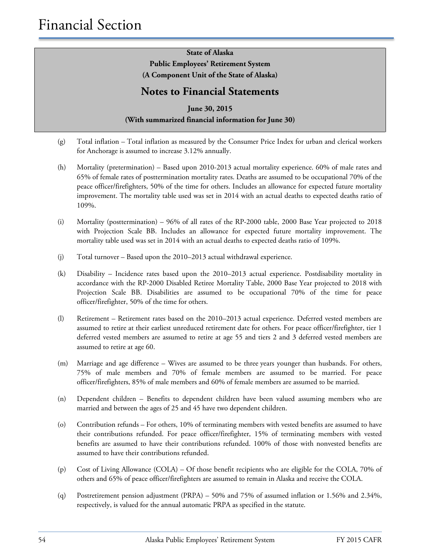### **Notes to Financial Statements**

**June 30, 2015 (With summarized financial information for June 30)**

- (g) Total inflation Total inflation as measured by the Consumer Price Index for urban and clerical workers for Anchorage is assumed to increase 3.12% annually.
- (h) Mortality (pretermination) Based upon 2010-2013 actual mortality experience. 60% of male rates and 65% of female rates of posttermination mortality rates. Deaths are assumed to be occupational 70% of the peace officer/firefighters, 50% of the time for others. Includes an allowance for expected future mortality improvement. The mortality table used was set in 2014 with an actual deaths to expected deaths ratio of 109%.
- (i) Mortality (posttermination) 96% of all rates of the RP-2000 table, 2000 Base Year projected to 2018 with Projection Scale BB. Includes an allowance for expected future mortality improvement. The mortality table used was set in 2014 with an actual deaths to expected deaths ratio of 109%.
- (j) Total turnover Based upon the 2010–2013 actual withdrawal experience.
- (k) Disability Incidence rates based upon the 2010–2013 actual experience. Postdisability mortality in accordance with the RP-2000 Disabled Retiree Mortality Table, 2000 Base Year projected to 2018 with Projection Scale BB. Disabilities are assumed to be occupational 70% of the time for peace officer/firefighter, 50% of the time for others.
- (l) Retirement Retirement rates based on the 2010–2013 actual experience. Deferred vested members are assumed to retire at their earliest unreduced retirement date for others. For peace officer/firefighter, tier 1 deferred vested members are assumed to retire at age 55 and tiers 2 and 3 deferred vested members are assumed to retire at age 60.
- (m) Marriage and age difference Wives are assumed to be three years younger than husbands. For others, 75% of male members and 70% of female members are assumed to be married. For peace officer/firefighters, 85% of male members and 60% of female members are assumed to be married.
- (n) Dependent children Benefits to dependent children have been valued assuming members who are married and between the ages of 25 and 45 have two dependent children.
- (o) Contribution refunds For others, 10% of terminating members with vested benefits are assumed to have their contributions refunded. For peace officer/firefighter, 15% of terminating members with vested benefits are assumed to have their contributions refunded. 100% of those with nonvested benefits are assumed to have their contributions refunded.
- (p) Cost of Living Allowance (COLA) Of those benefit recipients who are eligible for the COLA, 70% of others and 65% of peace officer/firefighters are assumed to remain in Alaska and receive the COLA.
- (q) Postretirement pension adjustment (PRPA) 50% and 75% of assumed inflation or 1.56% and 2.34%, respectively, is valued for the annual automatic PRPA as specified in the statute.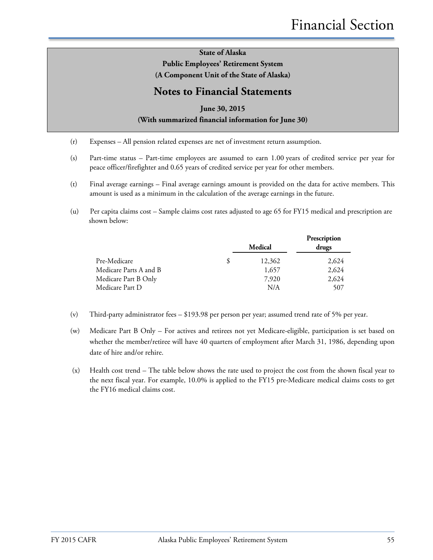### **Notes to Financial Statements**

**June 30, 2015 (With summarized financial information for June 30)**

- (r) Expenses All pension related expenses are net of investment return assumption.
- (s) Part-time status Part-time employees are assumed to earn 1.00 years of credited service per year for peace officer/firefighter and 0.65 years of credited service per year for other members.
- (t) Final average earnings Final average earnings amount is provided on the data for active members. This amount is used as a minimum in the calculation of the average earnings in the future.
- (u) Per capita claims cost Sample claims cost rates adjusted to age 65 for FY15 medical and prescription are shown below:

|                        | Medical | Prescription<br>drugs |
|------------------------|---------|-----------------------|
|                        |         |                       |
| Pre-Medicare<br>S      | 12,362  | 2,624                 |
| Medicare Parts A and B | 1,657   | 2,624                 |
| Medicare Part B Only   | 7,920   | 2,624                 |
| Medicare Part D        | N/A     | 507                   |

- (v) Third-party administrator fees \$193.98 per person per year; assumed trend rate of 5% per year.
- (w) Medicare Part B Only For actives and retirees not yet Medicare-eligible, participation is set based on whether the member/retiree will have 40 quarters of employment after March 31, 1986, depending upon date of hire and/or rehire.
- (x) Health cost trend The table below shows the rate used to project the cost from the shown fiscal year to the next fiscal year. For example, 10.0% is applied to the FY15 pre-Medicare medical claims costs to get the FY16 medical claims cost.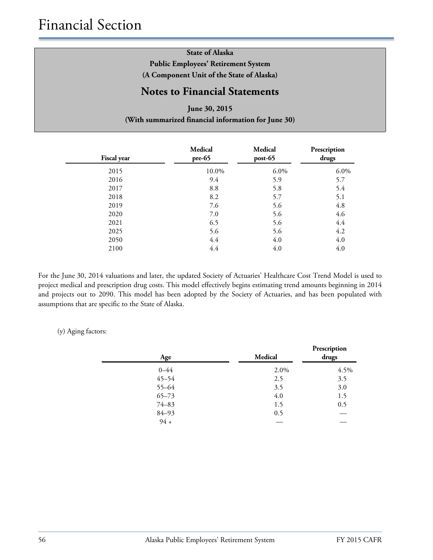### **Notes to Financial Statements**

**June 30, 2015 (With summarized financial information for June 30)**

| Fiscal year | <b>Medical</b><br>pre-65 | <b>Medical</b><br>post-65 | Prescription<br>drugs |
|-------------|--------------------------|---------------------------|-----------------------|
| 2015        | 10.0%                    | $6.0\%$                   | 6.0%                  |
| 2016        | 9.4                      | 5.9                       | 5.7                   |
| 2017        | 8.8                      | 5.8                       | 5.4                   |
| 2018        | 8.2                      | 5.7                       | 5.1                   |
| 2019        | 7.6                      | 5.6                       | 4.8                   |
| 2020        | 7.0                      | 5.6                       | 4.6                   |
| 2021        | 6.5                      | 5.6                       | 4.4                   |
| 2025        | 5.6                      | 5.6                       | 4.2                   |
| 2050        | 4.4                      | 4.0                       | 4.0                   |
| 2100        | 4.4                      | 4.0                       | 4.0                   |

For the June 30, 2014 valuations and later, the updated Society of Actuaries' Healthcare Cost Trend Model is used to project medical and prescription drug costs. This model effectively begins estimating trend amounts beginning in 2014 and projects out to 2090. This model has been adopted by the Society of Actuaries, and has been populated with assumptions that are specific to the State of Alaska.

#### (y) Aging factors:

| Age       | Medical | Prescription<br>drugs |
|-----------|---------|-----------------------|
| $0 - 44$  | 2.0%    | 4.5%                  |
| $45 - 54$ | 2.5     | 3.5                   |
| $55 - 64$ | 3.5     | 3.0                   |
| $65 - 73$ | 4.0     | 1.5                   |
| $74 - 83$ | 1.5     | 0.5                   |
| $84 - 93$ | 0.5     |                       |
| $94 +$    |         |                       |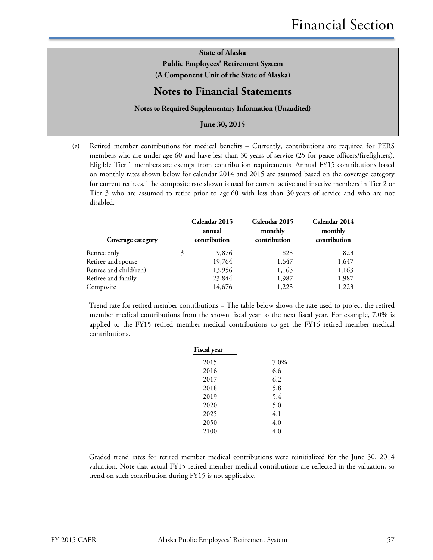### **Notes to Financial Statements**

**Notes to Required Supplementary Information (Unaudited)**

**June 30, 2015**

(z) Retired member contributions for medical benefits – Currently, contributions are required for PERS members who are under age 60 and have less than 30 years of service (25 for peace officers/firefighters). Eligible Tier 1 members are exempt from contribution requirements. Annual FY15 contributions based on monthly rates shown below for calendar 2014 and 2015 are assumed based on the coverage category for current retirees. The composite rate shown is used for current active and inactive members in Tier 2 or Tier 3 who are assumed to retire prior to age 60 with less than 30 years of service and who are not disabled.

| Coverage category      | Calendar 2015<br>annual<br>contribution | Calendar 2015<br>monthly<br>contribution | Calendar 2014<br>monthly<br>contribution |
|------------------------|-----------------------------------------|------------------------------------------|------------------------------------------|
| Retiree only           | \$<br>9,876                             | 823                                      | 823                                      |
| Retiree and spouse     | 19,764                                  | 1,647                                    | 1,647                                    |
| Retiree and child(ren) | 13,956                                  | 1,163                                    | 1,163                                    |
| Retiree and family     | 23,844                                  | 1,987                                    | 1,987                                    |
| Composite              | 14,676                                  | 1,223                                    | 1,223                                    |

Trend rate for retired member contributions – The table below shows the rate used to project the retired member medical contributions from the shown fiscal year to the next fiscal year. For example, 7.0% is applied to the FY15 retired member medical contributions to get the FY16 retired member medical contributions.

| <b>Fiscal year</b> |      |
|--------------------|------|
| 2015               | 7.0% |
| 2016               | 6.6  |
| 2017               | 6.2  |
| 2018               | 5.8  |
| 2019               | 5.4  |
| 2020               | 5.0  |
| 2025               | 4.1  |
| 2050               | 4.0  |
| 2100               | 4.0  |
|                    |      |

Graded trend rates for retired member medical contributions were reinitialized for the June 30, 2014 valuation. Note that actual FY15 retired member medical contributions are reflected in the valuation, so trend on such contribution during FY15 is not applicable.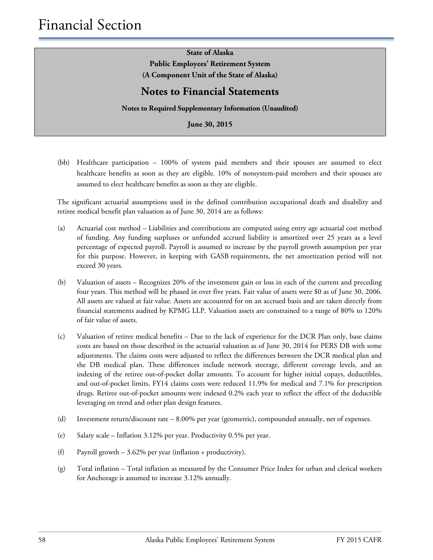### **Notes to Financial Statements**

**Notes to Required Supplementary Information (Unaudited)**

**June 30, 2015**

(bb) Healthcare participation – 100% of system paid members and their spouses are assumed to elect healthcare benefits as soon as they are eligible. 10% of nonsystem-paid members and their spouses are assumed to elect healthcare benefits as soon as they are eligible.

The significant actuarial assumptions used in the defined contribution occupational death and disability and retiree medical benefit plan valuation as of June 30, 2014 are as follows:

- (a) Actuarial cost method Liabilities and contributions are computed using entry age actuarial cost method of funding. Any funding surpluses or unfunded accrued liability is amortized over 25 years as a level percentage of expected payroll. Payroll is assumed to increase by the payroll growth assumption per year for this purpose. However, in keeping with GASB requirements, the net amortization period will not exceed 30 years.
- (b) Valuation of assets Recognizes 20% of the investment gain or loss in each of the current and preceding four years. This method will be phased in over five years. Fair value of assets were \$0 as of June 30, 2006. All assets are valued at fair value. Assets are accounted for on an accrued basis and are taken directly from financial statements audited by KPMG LLP. Valuation assets are constrained to a range of 80% to 120% of fair value of assets.
- (c) Valuation of retiree medical benefits Due to the lack of experience for the DCR Plan only, base claims costs are based on those described in the actuarial valuation as of June 30, 2014 for PERS DB with some adjustments. The claims costs were adjusted to reflect the differences between the DCR medical plan and the DB medical plan. These differences include network steerage, different coverage levels, and an indexing of the retiree out-of-pocket dollar amounts. To account for higher initial copays, deductibles, and out-of-pocket limits, FY14 claims costs were reduced 11.9% for medical and 7.1% for prescription drugs. Retiree out-of-pocket amounts were indexed 0.2% each year to reflect the effect of the deductible leveraging on trend and other plan design features.
- (d) Investment return/discount rate 8.00% per year (geometric), compounded annually, net of expenses.
- (e) Salary scale Inflation 3.12% per year. Productivity 0.5% per year.
- (f) Payroll growth  $-3.62\%$  per year (inflation + productivity).
- (g) Total inflation Total inflation as measured by the Consumer Price Index for urban and clerical workers for Anchorage is assumed to increase 3.12% annually.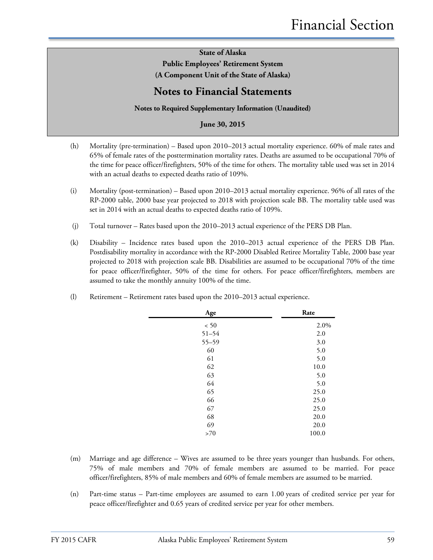**Public Employees' Retirement System**

**(A Component Unit of the State of Alaska)**

### **Notes to Financial Statements**

**Notes to Required Supplementary Information (Unaudited)**

**June 30, 2015**

- (h) Mortality (pre-termination) Based upon 2010–2013 actual mortality experience. 60% of male rates and 65% of female rates of the posttermination mortality rates. Deaths are assumed to be occupational 70% of the time for peace officer/firefighters, 50% of the time for others. The mortality table used was set in 2014 with an actual deaths to expected deaths ratio of 109%.
- (i) Mortality (post-termination) Based upon 2010–2013 actual mortality experience. 96% of all rates of the RP-2000 table, 2000 base year projected to 2018 with projection scale BB. The mortality table used was set in 2014 with an actual deaths to expected deaths ratio of 109%.
- (j) Total turnover Rates based upon the 2010–2013 actual experience of the PERS DB Plan.
- (k) Disability Incidence rates based upon the 2010–2013 actual experience of the PERS DB Plan. Postdisability mortality in accordance with the RP-2000 Disabled Retiree Mortality Table, 2000 base year projected to 2018 with projection scale BB. Disabilities are assumed to be occupational 70% of the time for peace officer/firefighter, 50% of the time for others. For peace officer/firefighters, members are assumed to take the monthly annuity 100% of the time.

| (1) |  |  | Retirement – Retirement rates based upon the 2010–2013 actual experience. |
|-----|--|--|---------------------------------------------------------------------------|
|     |  |  |                                                                           |

| Age       | Rate  |
|-----------|-------|
| < 50      | 2.0%  |
| $51 - 54$ | 2.0   |
| $55 - 59$ | 3.0   |
| 60        | 5.0   |
| 61        | 5.0   |
| 62        | 10.0  |
| 63        | 5.0   |
| 64        | 5.0   |
| 65        | 25.0  |
| 66        | 25.0  |
| 67        | 25.0  |
| 68        | 20.0  |
| 69        | 20.0  |
| >70       | 100.0 |

- (m) Marriage and age difference Wives are assumed to be three years younger than husbands. For others, 75% of male members and 70% of female members are assumed to be married. For peace officer/firefighters, 85% of male members and 60% of female members are assumed to be married.
- (n) Part-time status Part-time employees are assumed to earn 1.00 years of credited service per year for peace officer/firefighter and 0.65 years of credited service per year for other members.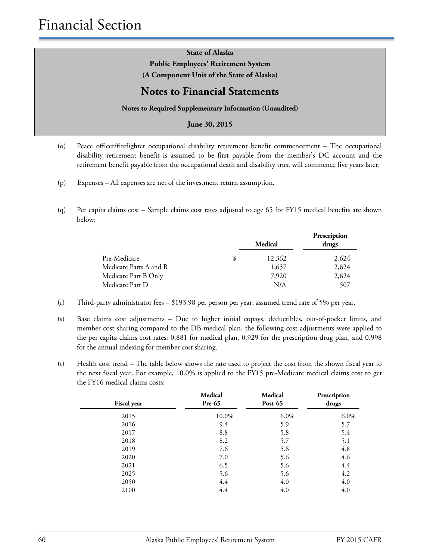### **Notes to Financial Statements**

**Notes to Required Supplementary Information (Unaudited)**

**June 30, 2015**

- (o) Peace officer/firefighter occupational disability retirement benefit commencement The occupational disability retirement benefit is assumed to be first payable from the member's DC account and the retirement benefit payable from the occupational death and disability trust will commence five years later.
- (p) Expenses All expenses are net of the investment return assumption.
- (q) Per capita claims cost Sample claims cost rates adjusted to age 65 for FY15 medical benefits are shown below:

|                        | Medical      | Prescription<br>drugs |  |
|------------------------|--------------|-----------------------|--|
| Pre-Medicare           | \$<br>12,362 | 2,624                 |  |
| Medicare Parts A and B | 1,657        | 2,624                 |  |
| Medicare Part B Only   | 7,920        | 2,624                 |  |
| Medicare Part D        | N/A          | 507                   |  |

- (r) Third-party administrator fees \$193.98 per person per year; assumed trend rate of 5% per year.
- (s) Base claims cost adjustments Due to higher initial copays, deductibles, out-of-pocket limits, and member cost sharing compared to the DB medical plan, the following cost adjustments were applied to the per capita claims cost rates: 0.881 for medical plan, 0.929 for the prescription drug plan, and 0.998 for the annual indexing for member cost sharing.
- (t) Health cost trend The table below shows the rate used to project the cost from the shown fiscal year to the next fiscal year. For example, 10.0% is applied to the FY15 pre-Medicare medical claims cost to get the FY16 medical claims costs:

| <b>Fiscal year</b> | Medical<br>$Pre-65$ | <b>Medical</b><br>Post- $65$ | Prescription<br>drugs |  |  |
|--------------------|---------------------|------------------------------|-----------------------|--|--|
| 2015               | 10.0%               | 6.0%                         | 6.0%                  |  |  |
| 2016               | 9.4                 | 5.9                          | 5.7                   |  |  |
| 2017               | 8.8                 | 5.8                          | 5.4                   |  |  |
| 2018               | 8.2                 | 5.7                          | 5.1                   |  |  |
| 2019               | 7.6                 | 5.6                          | 4.8                   |  |  |
| 2020               | 7.0                 | 5.6                          | 4.6                   |  |  |
| 2021               | 6.5                 | 5.6                          | 4.4                   |  |  |
| 2025               | 5.6                 | 5.6                          | 4.2                   |  |  |
| 2050               | 4.4                 | 4.0                          | 4.0                   |  |  |
| 2100               | 4.4                 | 4.0                          | 4.0                   |  |  |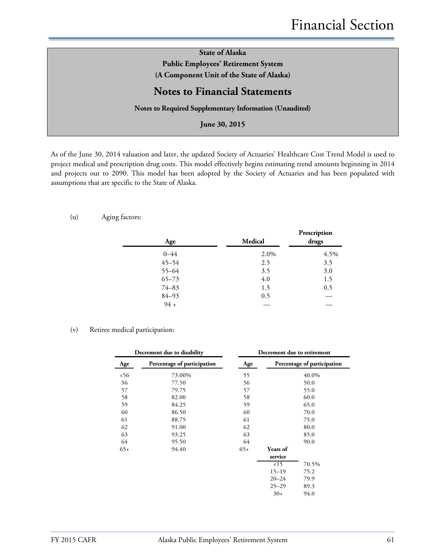### **Notes to Financial Statements**

**Notes to Required Supplementary Information (Unaudited)**

**June 30, 2015**

As of the June 30, 2014 valuation and later, the updated Society of Actuaries' Healthcare Cost Trend Model is used to project medical and prescription drug costs. This model effectively begins estimating trend amounts beginning in 2014 and projects out to 2090. This model has been adopted by the Society of Actuaries and has been populated with assumptions that are specific to the State of Alaska.

#### (u) Aging factors:

| Age       | <b>Medical</b> | Prescription<br>drugs |
|-----------|----------------|-----------------------|
| $0 - 44$  | 2.0%           | 4.5%                  |
| $45 - 54$ | 2.5            | 3.5                   |
| $55 - 64$ | 3.5            | 3.0                   |
| $65 - 73$ | 4.0            | 1.5                   |
| $74 - 83$ | 1.5            | 0.5                   |
| $84 - 93$ | 0.5            |                       |
| $94 +$    |                |                       |

#### (v) Retiree medical participation:

| Decrement due to disability |                             | Decrement due to retirement |           |                             |
|-----------------------------|-----------------------------|-----------------------------|-----------|-----------------------------|
| Age                         | Percentage of participation | Age                         |           | Percentage of participation |
| 56                          | 73.00%                      | 55                          |           | 40.0%                       |
| 56                          | 77.50                       | 56                          |           | 50.0                        |
| 57                          | 79.75                       | 57                          |           | 55.0                        |
| 58                          | 82.00                       | 58                          |           | 60.0                        |
| 59                          | 84.25                       | 59                          |           | 65.0                        |
| 60                          | 86.50                       | 60                          |           | 70.0                        |
| 61                          | 88.75                       | 61                          |           | 75.0                        |
| 62                          | 91.00                       | 62                          |           | 80.0                        |
| 63                          | 93.25                       | 63                          |           | 85.0                        |
| 64                          | 95.50                       | 64                          |           | 90.0                        |
| $65+$                       | 94.40                       | $65+$                       | Years of  |                             |
|                             |                             |                             | service   |                             |
|                             |                             |                             | 15        | 70.5%                       |
|                             |                             |                             | $15 - 19$ | 75.2                        |
|                             |                             |                             | $20 - 24$ | 79.9                        |
|                             |                             |                             | $25 - 29$ | 89.3                        |
|                             |                             |                             | $30+$     | 94.0                        |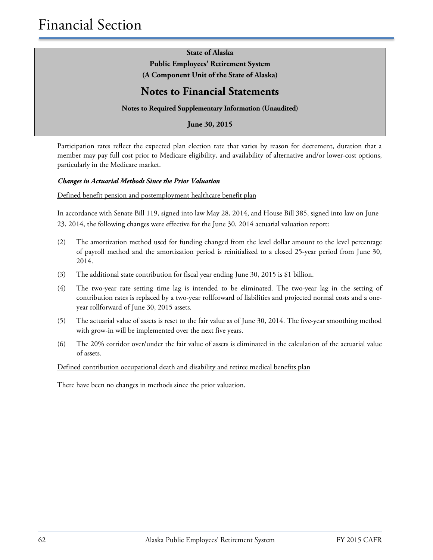### **Notes to Financial Statements**

**Notes to Required Supplementary Information (Unaudited)**

**June 30, 2015**

Participation rates reflect the expected plan election rate that varies by reason for decrement, duration that a member may pay full cost prior to Medicare eligibility, and availability of alternative and/or lower-cost options, particularly in the Medicare market.

### *Changes in Actuarial Methods Since the Prior Valuation*

Defined benefit pension and postemployment healthcare benefit plan

In accordance with Senate Bill 119, signed into law May 28, 2014, and House Bill 385, signed into law on June 23, 2014, the following changes were effective for the June 30, 2014 actuarial valuation report:

- (2) The amortization method used for funding changed from the level dollar amount to the level percentage of payroll method and the amortization period is reinitialized to a closed 25-year period from June 30, 2014.
- (3) The additional state contribution for fiscal year ending June 30, 2015 is \$1 billion.
- (4) The two-year rate setting time lag is intended to be eliminated. The two-year lag in the setting of contribution rates is replaced by a two-year rollforward of liabilities and projected normal costs and a oneyear rollforward of June 30, 2015 assets.
- (5) The actuarial value of assets is reset to the fair value as of June 30, 2014. The five-year smoothing method with grow-in will be implemented over the next five years.
- (6) The 20% corridor over/under the fair value of assets is eliminated in the calculation of the actuarial value of assets.

#### Defined contribution occupational death and disability and retiree medical benefits plan

There have been no changes in methods since the prior valuation.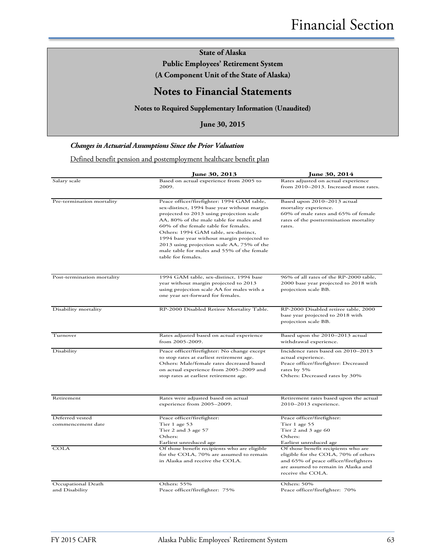**Public Employees' Retirement System**

**(A Component Unit of the State of Alaska)**

### **Notes to Financial Statements**

**Notes to Required Supplementary Information (Unaudited)**

**June 30, 2015**

#### *Changes in Actuarial Assumptions Since the Prior Valuation*

Defined benefit pension and postemployment healthcare benefit plan

|                                      | June 30, 2013                                                                                                                                                                                                                                                                                                                                                                                                                     | June 30, 2014                                                                                                                                                                    |  |  |
|--------------------------------------|-----------------------------------------------------------------------------------------------------------------------------------------------------------------------------------------------------------------------------------------------------------------------------------------------------------------------------------------------------------------------------------------------------------------------------------|----------------------------------------------------------------------------------------------------------------------------------------------------------------------------------|--|--|
| Salary scale                         | Based on actual experience from 2005 to<br>2009.                                                                                                                                                                                                                                                                                                                                                                                  | Rates adjusted on actual experience<br>from 2010-2013. Increased most rates.                                                                                                     |  |  |
| Pre-termination mortality            | Peace officer/firefighter: 1994 GAM table,<br>sex-distinct, 1994 base year without margin<br>projected to 2013 using projection scale<br>AA, 80% of the male table for males and<br>60% of the female table for females.<br>Others: 1994 GAM table, sex-distinct,<br>1994 base year without margin projected to<br>2013 using projection scale AA, 75% of the<br>male table for males and 55% of the female<br>table for females. | Based upon 2010-2013 actual<br>mortality experience.<br>60% of male rates and 65% of female<br>rates of the posttermination mortality<br>rates.                                  |  |  |
| Post-termination mortality           | 1994 GAM table, sex-distinct, 1994 base<br>year without margin projected to 2013<br>using projection scale AA for males with a<br>one year set-forward for females.                                                                                                                                                                                                                                                               | 96% of all rates of the RP-2000 table,<br>2000 base year projected to 2018 with<br>projection scale BB.                                                                          |  |  |
| Disability mortality                 | RP-2000 Disabled Retiree Mortality Table.                                                                                                                                                                                                                                                                                                                                                                                         | RP-2000 Disabled retiree table, 2000<br>base year projected to 2018 with<br>projection scale BB.                                                                                 |  |  |
| Turnover                             | Rates adjusted based on actual experience<br>from 2005-2009.                                                                                                                                                                                                                                                                                                                                                                      | Based upon the 2010-2013 actual<br>withdrawal experience.                                                                                                                        |  |  |
| Disability                           | Peace officer/firefighter: No change except<br>to stop rates at earliest retirement age.<br>Others: Male/female rates decreased based<br>on actual experience from 2005-2009 and<br>stop rates at earliest retirement age.                                                                                                                                                                                                        | Incidence rates based on 2010-2013<br>actual experience.<br>Peace officer/firefighter: Decreased<br>rates by 5%<br>Others: Decreased rates by 30%                                |  |  |
| Retirement                           | Rates were adjusted based on actual<br>experience from 2005-2009.                                                                                                                                                                                                                                                                                                                                                                 | Retirement rates based upon the actual<br>2010-2013 experience.                                                                                                                  |  |  |
| Deferred vested<br>commencement date | Peace officer/firefighter:<br>Tier 1 age 53<br>Tier 2 and 3 age 57<br>Others:<br>Earliest unreduced age                                                                                                                                                                                                                                                                                                                           | Peace officer/firefighter:<br>Tier 1 age 55<br>Tier 2 and 3 age 60<br>Others:<br>Earliest unreduced age                                                                          |  |  |
| <b>COLA</b>                          | Of those benefit recipients who are eligible<br>for the COLA, 70% are assumed to remain<br>in Alaska and receive the COLA.                                                                                                                                                                                                                                                                                                        | Of those benefit recipients who are<br>eligible for the COLA, 70% of others<br>and 65% of peace officer/firefighters<br>are assumed to remain in Alaska and<br>receive the COLA. |  |  |
| Occupational Death<br>and Disability | Others: 55%<br>Peace officer/firefighter: 75%                                                                                                                                                                                                                                                                                                                                                                                     | Others: 50%<br>Peace officer/firefighter: 70%                                                                                                                                    |  |  |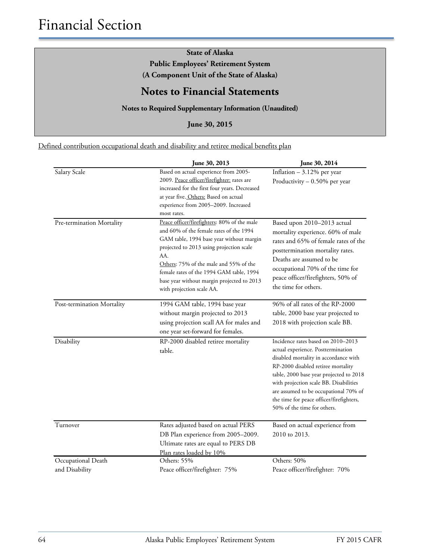### **Notes to Financial Statements**

### **Notes to Required Supplementary Information (Unaudited)**

**June 30, 2015**

Defined contribution occupational death and disability and retiree medical benefits plan

|                                      | June 30, 2013                                                                                                                                                                                                                                                                                                                                          | June 30, 2014                                                                                                                                                                                                                                                                                                                                                    |
|--------------------------------------|--------------------------------------------------------------------------------------------------------------------------------------------------------------------------------------------------------------------------------------------------------------------------------------------------------------------------------------------------------|------------------------------------------------------------------------------------------------------------------------------------------------------------------------------------------------------------------------------------------------------------------------------------------------------------------------------------------------------------------|
| Salary Scale                         | Based on actual experience from 2005-<br>2009. Peace officer/firefighter: rates are<br>increased for the first four years. Decreased<br>at year five. Others: Based on actual<br>experience from 2005-2009. Increased<br>most rates.                                                                                                                   | Inflation $-3.12%$ per year<br>Productivity - 0.50% per year                                                                                                                                                                                                                                                                                                     |
| Pre-termination Mortality            | Peace officer/firefighters: 80% of the male<br>and 60% of the female rates of the 1994<br>GAM table, 1994 base year without margin<br>projected to 2013 using projection scale<br>AA.<br>Others: 75% of the male and 55% of the<br>female rates of the 1994 GAM table, 1994<br>base year without margin projected to 2013<br>with projection scale AA. | Based upon 2010-2013 actual<br>mortality experience. 60% of male<br>rates and 65% of female rates of the<br>posttermination mortality rates.<br>Deaths are assumed to be<br>occupational 70% of the time for<br>peace officer/firefighters, 50% of<br>the time for others.                                                                                       |
| Post-termination Mortality           | 1994 GAM table, 1994 base year<br>without margin projected to 2013<br>using projection scall AA for males and<br>one year set-forward for females.                                                                                                                                                                                                     | 96% of all rates of the RP-2000<br>table, 2000 base year projected to<br>2018 with projection scale BB.                                                                                                                                                                                                                                                          |
| Disability                           | RP-2000 disabled retiree mortality<br>table.                                                                                                                                                                                                                                                                                                           | Incidence rates based on 2010-2013<br>actual experience. Posttermination<br>disabled mortality in accordance with<br>RP-2000 disabled retiree mortality<br>table, 2000 base year projected to 2018<br>with projection scale BB. Disabilities<br>are assumed to be occupational 70% of<br>the time for peace officer/firefighters,<br>50% of the time for others. |
| Turnover                             | Rates adjusted based on actual PERS<br>DB Plan experience from 2005-2009.<br>Ultimate rates are equal to PERS DB<br>Plan rates loaded by 10%                                                                                                                                                                                                           | Based on actual experience from<br>2010 to 2013.                                                                                                                                                                                                                                                                                                                 |
| Occupational Death<br>and Disability | Others: 55%<br>Peace officer/firefighter: 75%                                                                                                                                                                                                                                                                                                          | Others: 50%<br>Peace officer/firefighter: 70%                                                                                                                                                                                                                                                                                                                    |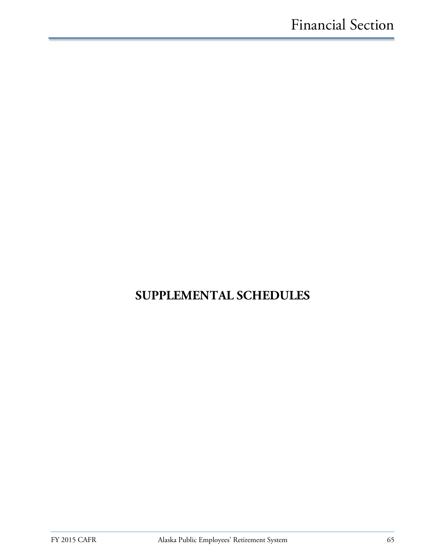# **SUPPLEMENTAL SCHEDULES**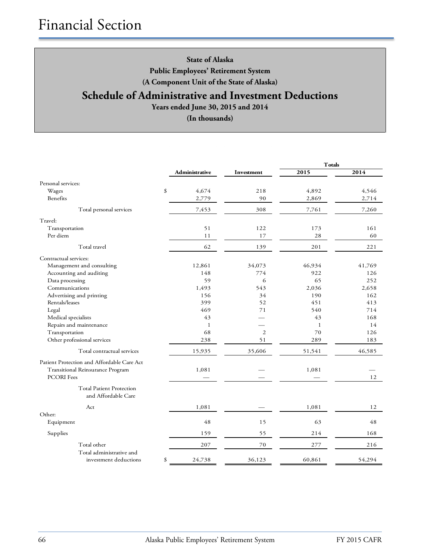**Public Employees' Retirement System**

**(A Component Unit of the State of Alaska)**

### **Schedule of Administrative and Investment Deductions**

**Years ended June 30, 2015 and 2014**

**(In thousands)**

|                                                        |                |            | <b>Totals</b> |               |
|--------------------------------------------------------|----------------|------------|---------------|---------------|
|                                                        | Administrative | Investment | 2015          | $\sqrt{2014}$ |
| Personal services:                                     |                |            |               |               |
| Wages                                                  | \$<br>4,674    | 218        | 4,892         | 4,546         |
| Benefits                                               | 2,779          | 90         | 2,869         | 2,714         |
| Total personal services                                | 7,453          | 308        | 7,761         | 7,260         |
| Travel:                                                |                |            |               |               |
| Transportation                                         | 51             | 122        | 173           | 161           |
| Per diem                                               | 11             | 17         | 28            | 60            |
| Total travel                                           | 62             | 139        | 201           | 221           |
| Contractual services:                                  |                |            |               |               |
| Management and consulting                              | 12,861         | 34,073     | 46,934        | 41,769        |
| Accounting and auditing                                | 148            | 774        | 922           | 126           |
| Data processing                                        | 59             | 6          | 65            | 252           |
| Communications                                         | 1,493          | 543        | 2,036         | 2,658         |
| Advertising and printing                               | 156            | 34         | 190           | 162           |
| Rentals/leases                                         | 399            | 52         | 451           | 413           |
| Legal                                                  | 469            | 71         | 540           | 714           |
| Medical specialists                                    | 43             |            | 43            | 168           |
| Repairs and maintenance                                | 1              |            | $\mathbf{1}$  | 14            |
| Transportation                                         | 68             | 2          | 70            | 126           |
| Other professional services                            | 238            | 51         | 289           | 183           |
| Total contractual services                             | 15,935         | 35,606     | 51,541        | 46,585        |
| Patient Protection and Affordable Care Act             |                |            |               |               |
| Transitional Reinsurance Program                       | 1,081          |            | 1,081         |               |
| <b>PCORI Fees</b>                                      |                |            |               | 12            |
| <b>Total Patient Protection</b><br>and Affordable Care |                |            |               |               |
| Act                                                    | 1,081          |            | 1,081         | 12            |
| Other:                                                 |                |            |               |               |
| Equipment                                              | 48             | 15         | 63            | 48            |
| Supplies                                               | 159            | 55         | 214           | 168           |
| Total other                                            | 207            | 70         | 277           | 216           |
| Total administrative and<br>investment deductions      | \$<br>24,738   | 36,123     | 60,861        | 54,294        |
|                                                        |                |            |               |               |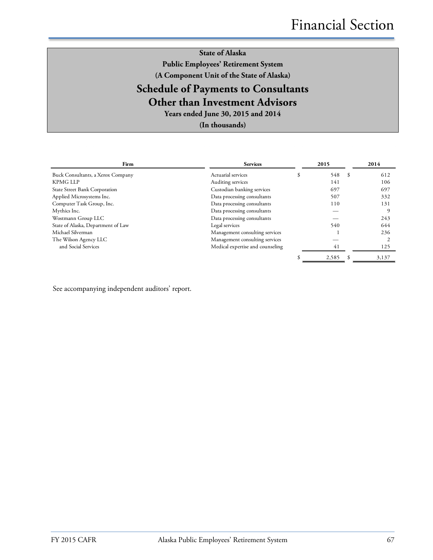### **Schedule of Payments to Consultants Other than Investment Advisors**

**Years ended June 30, 2015 and 2014**

**(In thousands)**

| Firm                                 | <b>Services</b>                  |   | 2015  |      | 2014  |
|--------------------------------------|----------------------------------|---|-------|------|-------|
| Buck Consultants, a Xerox Company    | Actuarial services               | S | 548   | - \$ | 612   |
| <b>KPMG LLP</b>                      | Auditing services                |   | 141   |      | 106   |
| <b>State Street Bank Corporation</b> | Custodian banking services       |   | 697   |      | 697   |
| Applied Microsystems Inc.            | Data processing consultants      |   | 507   |      | 332   |
| Computer Task Group, Inc.            | Data processing consultants      |   | 110   |      | 131   |
| Mythics Inc.                         | Data processing consultants      |   |       |      | 9     |
| Wostmann Group LLC                   | Data processing consultants      |   |       |      | 243   |
| State of Alaska, Department of Law   | Legal services                   |   | 540   |      | 644   |
| Michael Silverman                    | Management consulting services   |   |       |      | 236   |
| The Wilson Agency LLC                | Management consulting services   |   |       |      |       |
| and Social Services                  | Medical expertise and counseling |   | 41    |      | 125   |
|                                      |                                  |   | 2,585 |      | 3,137 |

See accompanying independent auditors' report.